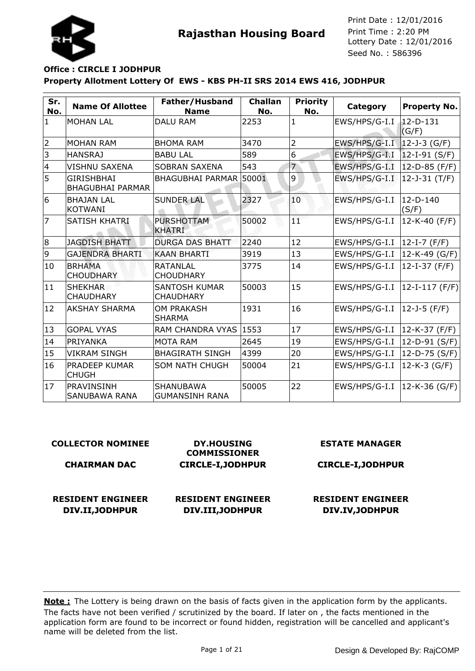



## **Property Allotment Lottery Of EWS - KBS PH-II SRS 2014 EWS 416, JODHPUR Office : CIRCLE I JODHPUR**

| Sr.<br>No.     | <b>Name Of Allottee</b>                      | Father/Husband<br><b>Name</b>            | <b>Challan</b><br>No. | <b>Priority</b><br>No. | Category      | <b>Property No.</b>     |
|----------------|----------------------------------------------|------------------------------------------|-----------------------|------------------------|---------------|-------------------------|
| $\mathbf{1}$   | <b>MOHAN LAL</b>                             | <b>DALU RAM</b>                          | 2253                  | $\mathbf{1}$           | EWS/HPS/G-I.I | $12 - D - 131$<br>(G/F) |
| $\overline{2}$ | <b>MOHAN RAM</b>                             | <b>BHOMA RAM</b>                         | 3470                  | $\overline{2}$         | EWS/HPS/G-I.I | $12 - J - 3$ (G/F)      |
| 3              | <b>HANSRAJ</b>                               | <b>BABU LAL</b>                          | 589                   | 6                      | EWS/HPS/G-I.I | $12-I-91(S/F)$          |
| 4              | VISHNU SAXENA                                | <b>SOBRAN SAXENA</b>                     | 543                   | 7                      | EWS/HPS/G-I.I | $12-D-85$ (F/F)         |
| 5              | <b>GIRISHBHAI</b><br><b>BHAGUBHAI PARMAR</b> | <b>BHAGUBHAI PARMAR</b>                  | 50001                 | 9                      | EWS/HPS/G-I.I | $12 - J - 31$ (T/F)     |
| 6              | <b>BHAJAN LAL</b><br><b>KOTWANI</b>          | <b>SUNDER LAL</b>                        | 2327                  | 10                     | EWS/HPS/G-I.I | $12-D-140$<br>(S/F)     |
| $\overline{7}$ | SATISH KHATRI                                | <b>PURSHOTTAM</b><br><b>KHATRI</b>       | 50002                 | 1T                     | EWS/HPS/G-I.I | 12-K-40 (F/F)           |
| 8              | <b>JAGDISH BHATT</b>                         | <b>DURGA DAS BHATT</b>                   | 2240                  | 12                     | EWS/HPS/G-I.I | $ 12-I-7(F/F) $         |
| 9              | <b>GAJENDRA BHARTI</b>                       | <b>KAAN BHARTI</b>                       | 3919                  | 13                     | EWS/HPS/G-I.I | 12-K-49 (G/F)           |
| 10             | <b>BRHAMA</b><br><b>CHOUDHARY</b>            | <b>RATANLAL</b><br><b>CHOUDHARY</b>      | 3775                  | 14                     | EWS/HPS/G-I.I | $12-I-37$ (F/F)         |
| 11             | <b>SHEKHAR</b><br><b>CHAUDHARY</b>           | <b>SANTOSH KUMAR</b><br><b>CHAUDHARY</b> | 50003                 | 15                     | EWS/HPS/G-I.I | 12-I-117 (F/F)          |
| 12             | <b>AKSHAY SHARMA</b>                         | <b>OM PRAKASH</b><br><b>SHARMA</b>       | 1931                  | 16                     | EWS/HPS/G-I.I | 12-J-5 (F/F)            |
| 13             | <b>GOPAL VYAS</b>                            | RAM CHANDRA VYAS 1553                    |                       | 17                     | EWS/HPS/G-I.I | 12-K-37 (F/F)           |
| 14             | PRIYANKA                                     | <b>MOTA RAM</b>                          | 2645                  | 19                     | EWS/HPS/G-I.I | 12-D-91 (S/F)           |
| 15             | <b>VIKRAM SINGH</b>                          | <b>BHAGIRATH SINGH</b>                   | 4399                  | 20                     | EWS/HPS/G-I.I | $12-D-75$ (S/F)         |
| 16             | PRADEEP KUMAR<br><b>CHUGH</b>                | <b>SOM NATH CHUGH</b>                    | 50004                 | 21                     | EWS/HPS/G-I.I | $12-K-3$ (G/F)          |
| 17             | PRAVINSINH<br>SANUBAWA RANA                  | SHANUBAWA<br><b>GUMANSINH RANA</b>       | 50005                 | 22                     | EWS/HPS/G-I.I | 12-K-36 (G/F)           |

#### **COLLECTOR NOMINEE**

#### **CHAIRMAN DAC**

**RESIDENT ENGINEER DIV.II,JODHPUR**

**DY.HOUSING COMMISSIONER CIRCLE-I,JODHPUR**

## **RESIDENT ENGINEER DIV.III,JODHPUR**

#### **ESTATE MANAGER**

#### **CIRCLE-I,JODHPUR**

## **RESIDENT ENGINEER DIV.IV,JODHPUR**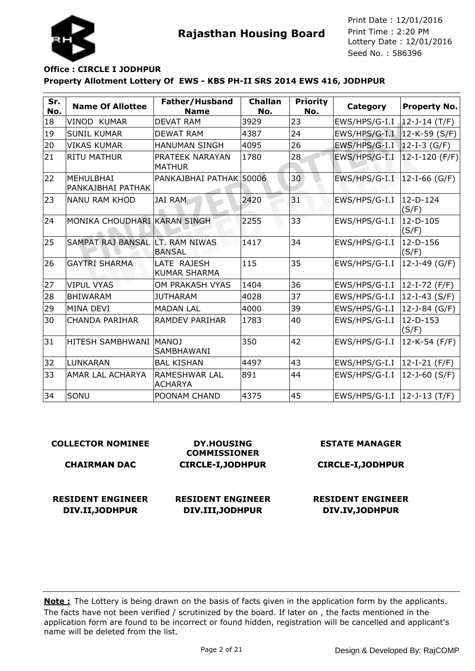



## **Property Allotment Lottery Of EWS - KBS PH-II SRS 2014 EWS 416, JODHPUR Office : CIRCLE I JODHPUR**

| Sr.<br>No. | <b>Name Of Allottee</b>               | Father/Husband<br><b>Name</b>          | <b>Challan</b><br>No. | <b>Priority</b><br>No. | Category                      | <b>Property No.</b>  |
|------------|---------------------------------------|----------------------------------------|-----------------------|------------------------|-------------------------------|----------------------|
| 18         | VINOD KUMAR                           | <b>DEVAT RAM</b>                       | 3929                  | 23                     | EWS/HPS/G-I.I                 | $12 - J - 14$ (T/F)  |
| 19         | <b>SUNIL KUMAR</b>                    | <b>DEWAT RAM</b>                       | 4387                  | 24                     | EWS/HPS/G-I.I   12-K-59 (S/F) |                      |
| 20         | <b>VIKAS KUMAR</b>                    | <b>HANUMAN SINGH</b>                   | 4095                  | 26                     | EWS/HPS/G-I.I                 | $12-I-3$ (G/F)       |
| 21         | <b>RITU MATHUR</b>                    | PRATEEK NARAYAN<br><b>MATHUR</b>       | 1780                  | 28                     | EWS/HPS/G-I.I                 | $12-I-120$ (F/F)     |
| 22         | <b>MEHULBHAI</b><br>PANKAJBHAI PATHAK | PANKAJBHAI PATHAK 50006                |                       | 30                     | EWS/HPS/G-I.I                 | 12-I-66 (G/F)        |
| 23         | NANU RAM KHOD                         | <b>JAI RAM</b>                         | 2420                  | 31                     | EWS/HPS/G-I.I                 | $12-D-124$<br>(S/F)  |
| 24         | MONIKA CHOUDHARI KARAN SINGH          |                                        | 2255                  | 33                     | EWS/HPS/G-I.I                 | 12-D-105<br>(S/F)    |
| 25         | <b>SAMPAT RAJ BANSAL</b>              | <b>ILT. RAM NIWAS</b><br><b>BANSAL</b> | 1417                  | 34                     | EWS/HPS/G-I.I                 | 12-D-156<br>(S/F)    |
| 26         | <b>GAYTRI SHARMA</b>                  | LATE RAJESH<br><b>KUMAR SHARMA</b>     | 115                   | 35                     | EWS/HPS/G-I.I                 | 12-J-49 (G/F)        |
| 27         | <b>VIPUL VYAS</b>                     | OM PRAKASH VYAS                        | 1404                  | 36                     | EWS/HPS/G-I.I                 | 12-I-72 (F/F)        |
| 28         | <b>BHIWARAM</b>                       | <b>JUTHARAM</b>                        | 4028                  | 37                     | EWS/HPS/G-I.I                 | $12-I-43 (S/F)$      |
| 29         | <b>MINA DEVI</b>                      | <b>MADAN LAL</b>                       | 4000                  | 39                     | EWS/HPS/G-I.I                 | 12-J-84 (G/F)        |
| 30         | <b>CHANDA PARIHAR</b>                 | <b>RAMDEV PARIHAR</b>                  | 1783                  | 40                     | EWS/HPS/G-I.I                 | $12-D-153$<br>(S/F)  |
| 31         | IHITESH SAMBHWANI  MANOJ              | <b>SAMBHAWANI</b>                      | 350                   | 42                     | EWS/HPS/G-I.I                 | 12-K-54 (F/F)        |
| 32         | LUNKARAN                              | <b>BAL KISHAN</b>                      | 4497                  | 43                     | EWS/HPS/G-I.I                 | 12-I-21 (F/F)        |
| 33         | <b>AMAR LAL ACHARYA</b>               | RAMESHWAR LAL<br><b>ACHARYA</b>        | 891                   | 44                     | EWS/HPS/G-I.I                 | 12-J-60 $(S/F)$      |
| 34         | SONU                                  | POONAM CHAND                           | 4375                  | 45                     | EWS/HPS/G-I.I                 | $ 12 - J - 13(T/F) $ |

| <b>COLLECTOR NOMINEE</b> | <b>DY.HOUSING</b><br><b>COMMISSIONER</b> | <b>ESTATE MANAGER</b>    |
|--------------------------|------------------------------------------|--------------------------|
| <b>CHAIRMAN DAC</b>      | <b>CIRCLE-I, JODHPUR</b>                 | <b>CIRCLE-I, JODHPUR</b> |
| <b>RESIDENT ENGINEER</b> | <b>RESIDENT ENGINEER</b>                 | <b>RESIDENT ENGINEER</b> |
| DIV.II, JODHPUR          | DIV.III, JODHPUR                         | DIV.IV, JODHPUR          |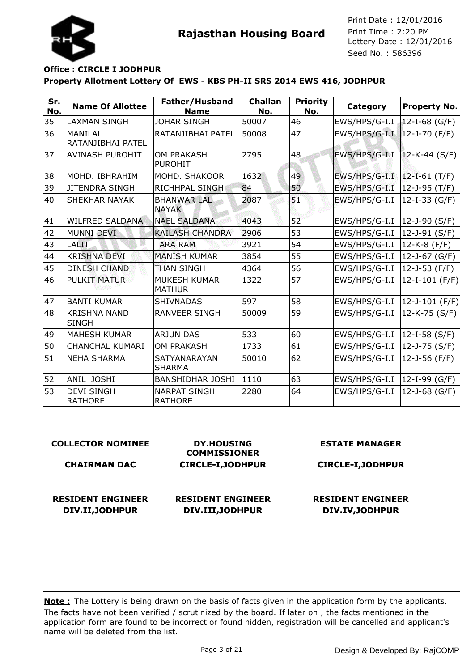



# **Property Allotment Lottery Of EWS - KBS PH-II SRS 2014 EWS 416, JODHPUR Office : CIRCLE I JODHPUR**

| Sr.<br>No. | <b>Name Of Allottee</b>              | Father/Husband<br><b>Name</b>         | <b>Challan</b><br>No. | <b>Priority</b><br>No. | Category      | <b>Property No.</b>   |
|------------|--------------------------------------|---------------------------------------|-----------------------|------------------------|---------------|-----------------------|
| 35         | LAXMAN SINGH                         | <b>JOHAR SINGH</b>                    | 50007                 | 46                     | EWS/HPS/G-I.I | 12-I-68 (G/F)         |
| 36         | <b>MANTI AL</b><br>RATANJIBHAI PATEL | RATANJIBHAI PATEL                     | 50008                 | 47                     | EWS/HPS/G-I.I | $12 - J - 70$ (F/F)   |
| 37         | AVINASH PUROHIT                      | OM PRAKASH<br><b>PUROHIT</b>          | 2795                  | 48                     | EWS/HPS/G-I.I | $12-K-44 (S/F)$       |
| 38         | MOHD. IBHRAHIM                       | MOHD. SHAKOOR                         | 1632                  | 49                     | EWS/HPS/G-I.I | $12-I-61$ (T/F)       |
| 39         | <b>JITENDRA SINGH</b>                | <b>RICHHPAL SINGH</b>                 | 84                    | 50                     | EWS/HPS/G-I.I | 12-J-95 (T/F)         |
| 40         | SHEKHAR NAYAK                        | <b>BHANWAR LAL</b><br><b>NAYAK</b>    | 2087                  | 51                     | EWS/HPS/G-I.I | $12-I-33$ (G/F)       |
| 41         | WILFRED SALDANA                      | <b>NAEL SALDANA</b>                   | 4043                  | 52                     | EWS/HPS/G-I.I | $12 - J - 90$ (S/F)   |
| 42         | <b>MUNNI DEVI</b>                    | <b>KAILASH CHANDRA</b>                | 2906                  | 53                     | EWS/HPS/G-I.I | 12-J-91 (S/F)         |
| 43         | <b>LALIT</b>                         | <b>TARA RAM</b>                       | 3921                  | 54                     | EWS/HPS/G-I.I | 12-K-8 (F/F)          |
| 44         | <b>KRISHNA DEVI</b>                  | <b>MANISH KUMAR</b>                   | 3854                  | 55                     | EWS/HPS/G-I.I | 12-J-67 (G/F)         |
| 45         | <b>DINESH CHAND</b>                  | <b>THAN SINGH</b>                     | 4364                  | 56                     | EWS/HPS/G-I.I | 12-J-53 (F/F)         |
| 46         | <b>PULKIT MATUR</b>                  | MUKESH KUMAR<br><b>MATHUR</b>         | 1322                  | 57                     | EWS/HPS/G-I.I | $12-I-101$ (F/F)      |
| 47         | <b>BANTI KUMAR</b>                   | <b>SHIVNADAS</b>                      | 597                   | 58                     | EWS/HPS/G-I.I | $ 12 - J - 101$ (F/F) |
| 48         | <b>KRISHNA NAND</b><br><b>SINGH</b>  | <b>RANVEER SINGH</b>                  | 50009                 | 59                     | EWS/HPS/G-I.I | $12-K-75$ (S/F)       |
| 49         | <b>MAHESH KUMAR</b>                  | <b>ARJUN DAS</b>                      | 533                   | 60                     | EWS/HPS/G-I.I | $ 12 - I - 58(S/F) $  |
| 50         | <b>CHANCHAL KUMARI</b>               | <b>OM PRAKASH</b>                     | 1733                  | 61                     | EWS/HPS/G-I.I | 12-J-75 (S/F)         |
| 51         | <b>NEHA SHARMA</b>                   | <b>SATYANARAYAN</b><br><b>SHARMA</b>  | 50010                 | 62                     | EWS/HPS/G-I.I | 12-J-56 (F/F)         |
| 52         | ANIL JOSHI                           | <b>BANSHIDHAR JOSHI</b>               | 1110                  | 63                     | EWS/HPS/G-I.I | $12-I-99$ (G/F)       |
| 53         | <b>DEVI SINGH</b><br><b>RATHORE</b>  | <b>NARPAT SINGH</b><br><b>RATHORE</b> | 2280                  | 64                     | EWS/HPS/G-I.I | 12-J-68 (G/F)         |

| <b>COLLECTOR NOMINEE</b> | <b>DY.HOUSING</b><br><b>COMMISSIONER</b> | <b>ESTATE MANAGER</b>    |
|--------------------------|------------------------------------------|--------------------------|
| <b>CHAIRMAN DAC</b>      | <b>CIRCLE-I, JODHPUR</b>                 | <b>CIRCLE-I, JODHPUR</b> |
| <b>RESIDENT ENGINEER</b> | <b>RESIDENT ENGINEER</b>                 | <b>RESIDENT ENGINEER</b> |
| DIV.II, JODHPUR          | DIV.III, JODHPUR                         | DIV.IV, JODHPUR          |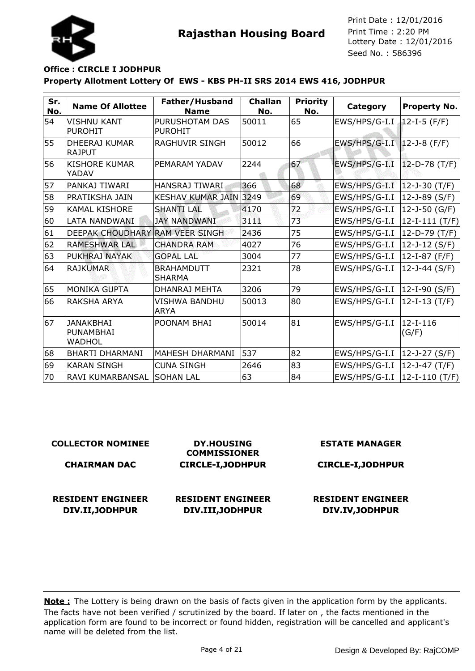



## **Property Allotment Lottery Of EWS - KBS PH-II SRS 2014 EWS 416, JODHPUR Office : CIRCLE I JODHPUR**

| Sr.<br>No. | <b>Name Of Allottee</b>                 | Father/Husband<br><b>Name</b>      | <b>Challan</b><br>No. | <b>Priority</b><br>No. | Category                     | <b>Property No.</b>    |
|------------|-----------------------------------------|------------------------------------|-----------------------|------------------------|------------------------------|------------------------|
| 54         | VISHNU KANT<br><b>PUROHIT</b>           | PURUSHOTAM DAS<br><b>PUROHIT</b>   | 50011                 | 65                     | EWS/HPS/G-I.I                | 12-I-5 (F/F)           |
| 55         | DHEERAJ KUMAR<br><b>RAJPUT</b>          | RAGHUVIR SINGH                     | 50012                 | 66                     | EWS/HPS/G-I.I   12-J-8 (F/F) |                        |
| 56         | <b>KISHORE KUMAR</b><br>YADAV           | PEMARAM YADAV                      | 2244                  | 67                     | EWS/HPS/G-I.I                | 12-D-78 (T/F)          |
| 57         | PANKAJ TIWARI                           | <b>HANSRAJ TIWARI</b>              | 366                   | 68                     | EWS/HPS/G-I.I                | $12 - J - 30$ (T/F)    |
| 58         | PRATIKSHA JAIN                          | KESHAV KUMAR JAIN 3249             |                       | 69                     | EWS/HPS/G-I.I                | $12 - J - 89$ (S/F)    |
| 59         | <b>KAMAL KISHORE</b>                    | <b>SHANTI LAL</b>                  | 4170                  | 72                     | EWS/HPS/G-I.I                | 12-J-50 (G/F)          |
| 60         | LATA NANDWANI                           | <b>JAY NANDWANI</b>                | 3111                  | 73                     | EWS/HPS/G-I.I                | $ 12 - I - 111 (T/F) $ |
| 61         | DEEPAK CHOUDHARY RAM VEER SINGH         |                                    | 2436                  | 75                     | EWS/HPS/G-I.I                | 12-D-79 (T/F)          |
| 62         | RAMESHWAR LAL                           | <b>CHANDRA RAM</b>                 | 4027                  | 76                     | EWS/HPS/G-I.I                | 12-J-12 (S/F)          |
| 63         | PUKHRAJ NAYAK                           | <b>GOPAL LAL</b>                   | 3004                  | 77                     | EWS/HPS/G-I.I                | 12-I-87 (F/F)          |
| 64         | <b>RAJKUMAR</b>                         | <b>BRAHAMDUTT</b><br><b>SHARMA</b> | 2321                  | 78                     | EWS/HPS/G-I.I                | 12-J-44 (S/F)          |
| 65         | <b>MONIKA GUPTA</b>                     | DHANRAJ MEHTA                      | 3206                  | 79                     | EWS/HPS/G-I.I                | $12-I-90 (S/F)$        |
| 66         | RAKSHA ARYA                             | VISHWA BANDHU<br><b>ARYA</b>       | 50013                 | 80                     | EWS/HPS/G-I.I                | 12-I-13 (T/F)          |
| 67         | <b>JANAKBHAI</b><br>PUNAMBHAI<br>WADHOL | POONAM BHAI                        | 50014                 | 81                     | EWS/HPS/G-I.I                | $12-I-116$<br>(G/F)    |
| 68         | <b>BHARTI DHARMANI</b>                  | MAHESH DHARMANI                    | 537                   | 82                     | EWS/HPS/G-I.I                | $12 - J - 27 (S/F)$    |
| 69         | <b>KARAN SINGH</b>                      | <b>CUNA SINGH</b>                  | 2646                  | 83                     | EWS/HPS/G-I.I                | 12-J-47 (T/F)          |
| 70         | RAVI KUMARBANSAL                        | <b>SOHAN LAL</b>                   | 63                    | 84                     | EWS/HPS/G-I.I                | 12-I-110 (T/F)         |

| <b>COLLECTOR NOMINEE</b> | <b>DY.HOUSING</b><br><b>COMMISSIONER</b> | <b>ESTATE MANAGER</b>    |
|--------------------------|------------------------------------------|--------------------------|
| <b>CHAIRMAN DAC</b>      | <b>CIRCLE-I, JODHPUR</b>                 | <b>CIRCLE-I, JODHPUR</b> |
|                          |                                          |                          |
| <b>RESIDENT ENGINEER</b> | <b>RESIDENT ENGINEER</b>                 | <b>RESIDENT ENGINEER</b> |
| DIV.II, JODHPUR          | DIV.III, JODHPUR                         | DIV.IV, JODHPUR          |
|                          |                                          |                          |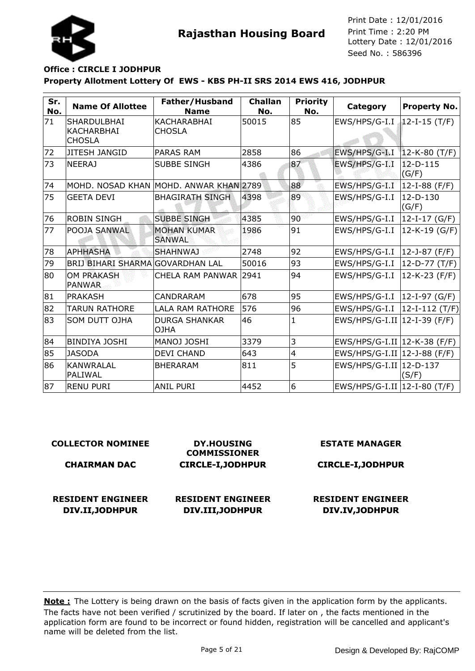

## **Property Allotment Lottery Of EWS - KBS PH-II SRS 2014 EWS 416, JODHPUR Office : CIRCLE I JODHPUR**

| Sr.<br>No. | <b>Name Of Allottee</b>                    | Father/Husband<br><b>Name</b>          | <b>Challan</b><br>No. | <b>Priority</b><br>No. | Category                       | <b>Property No.</b>  |
|------------|--------------------------------------------|----------------------------------------|-----------------------|------------------------|--------------------------------|----------------------|
| 71         | SHARDULBHAI<br>KACHARBHAI<br><b>CHOSLA</b> | KACHARABHAI<br><b>CHOSLA</b>           | 50015                 | 85                     | EWS/HPS/G-I.I                  | 12-I-15 (T/F)        |
| 72         | <b>JITESH JANGID</b>                       | <b>PARAS RAM</b>                       | 2858                  | 86                     | EWS/HPS/G-I.I                  | $12-K-80$ (T/F)      |
| 73         | <b>NEERAJ</b>                              | <b>SUBBE SINGH</b>                     | 4386                  | 87                     | EWS/HPS/G-I.I                  | $12-D-115$<br>(G/F)  |
| 74         |                                            | MOHD. NOSAD KHAN MOHD. ANWAR KHAN 2789 |                       | 88                     | EWS/HPS/G-I.I                  | $12-I-88$ (F/F)      |
| 75         | <b>GEETA DEVI</b>                          | <b>BHAGIRATH SINGH</b>                 | 4398                  | 89                     | EWS/HPS/G-I.I                  | $12-D-130$<br>(G/F)  |
| 76         | <b>ROBIN SINGH</b>                         | <b>SUBBE SINGH</b>                     | 4385                  | 90                     | EWS/HPS/G-I.I                  | 12-I-17 (G/F)        |
| 77         | POOJA SANWAL                               | <b>MOHAN KUMAR</b><br><b>SANWAL</b>    | 1986                  | 91                     | EWS/HPS/G-I.I                  | $12-K-19$ (G/F)      |
| 78         | <b>APHHASHA</b>                            | <b>SHAHNWAJ</b>                        | 2748                  | 92                     | EWS/HPS/G-I.I                  | $ 12 - 3 - 87$ (F/F) |
| 79         | BRIJ BIHARI SHARMA GOVARDHAN LAL           |                                        | 50016                 | 93                     | EWS/HPS/G-I.I                  | 12-D-77 (T/F)        |
| 80         | <b>OM PRAKASH</b><br><b>PANWAR</b>         | CHELA RAM PANWAR 2941                  |                       | 94                     | EWS/HPS/G-I.I                  | $12-K-23$ (F/F)      |
| 81         | <b>PRAKASH</b>                             | CANDRARAM                              | 678                   | 95                     | EWS/HPS/G-I.I                  | $ 12-I-97(G/F) $     |
| 82         | <b>TARUN RATHORE</b>                       | <b>LALA RAM RATHORE</b>                | 576                   | 96                     | EWS/HPS/G-I.I                  | $ 12-I-112(T/F) $    |
| 83         | <b>SOM DUTT OJHA</b>                       | <b>DURGA SHANKAR</b><br>AHLO           | 46                    | 1                      | EWS/HPS/G-I.II   12-I-39 (F/F) |                      |
| 84         | <b>BINDIYA JOSHI</b>                       | MANOJ JOSHI                            | 3379                  | 3                      | EWS/HPS/G-I.II   12-K-38 (F/F) |                      |
| 85         | <b>JASODA</b>                              | <b>DEVI CHAND</b>                      | 643                   | 4                      | EWS/HPS/G-I.II   12-J-88 (F/F) |                      |
| 86         | <b>KANWRALAL</b><br>PALIWAL                | <b>BHERARAM</b>                        | 811                   | 5                      | EWS/HPS/G-I.II   12-D-137      | (S/F)                |
| 87         | <b>RENU PURI</b>                           | <b>ANIL PURI</b>                       | 4452                  | 6                      | EWS/HPS/G-I.II   12-I-80 (T/F) |                      |

| <b>COLLECTOR NOMINEE</b> | <b>DY.HOUSING</b><br><b>COMMISSIONER</b> | <b>ESTATE MANAGER</b>    |
|--------------------------|------------------------------------------|--------------------------|
| <b>CHAIRMAN DAC</b>      | <b>CIRCLE-I, JODHPUR</b>                 | <b>CIRCLE-I, JODHPUR</b> |
|                          |                                          |                          |
| <b>RESIDENT ENGINEER</b> | <b>RESIDENT ENGINEER</b>                 | <b>RESIDENT ENGINEER</b> |
| DIV.II, JODHPUR          | DIV.III, JODHPUR                         | DIV.IV, JODHPUR          |
|                          |                                          |                          |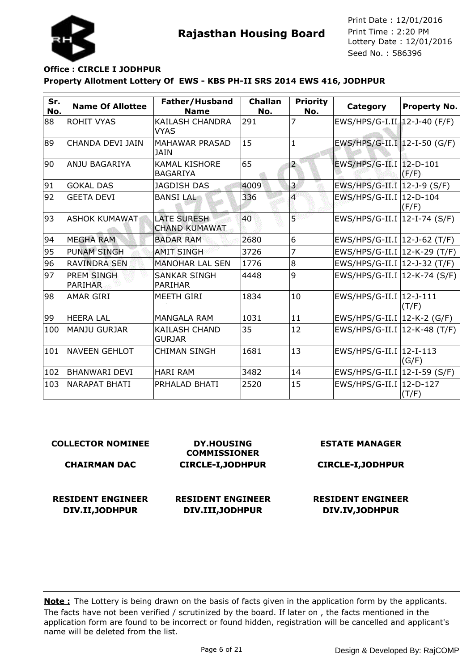



## **Property Allotment Lottery Of EWS - KBS PH-II SRS 2014 EWS 416, JODHPUR Office : CIRCLE I JODHPUR**

| Sr.<br>No. | <b>Name Of Allottee</b>             | Father/Husband<br><b>Name</b>              | <b>Challan</b><br>No. | <b>Priority</b><br>No. | Category                       | <b>Property No.</b> |
|------------|-------------------------------------|--------------------------------------------|-----------------------|------------------------|--------------------------------|---------------------|
| 88         | <b>ROHIT VYAS</b>                   | <b>KAILASH CHANDRA</b><br><b>VYAS</b>      | 291                   | 7                      | EWS/HPS/G-I.II 12-J-40 (F/F)   |                     |
| 89         | CHANDA DEVI JAIN                    | <b>MAHAWAR PRASAD</b><br><b>JAIN</b>       | 15                    | $\mathbf{1}$           | EWS/HPS/G-II.I 12-I-50 (G/F)   |                     |
| 90         | ANJU BAGARIYA                       | <b>KAMAL KISHORE</b><br><b>BAGARIYA</b>    | 65                    | 2                      | EWS/HPS/G-II.I   12-D-101      | (F/F)               |
| 91         | <b>GOKAL DAS</b>                    | <b>JAGDISH DAS</b>                         | 4009                  | 3                      | EWS/HPS/G-II.I   12-J-9 (S/F)  |                     |
| 92         | <b>GEETA DEVI</b>                   | <b>BANSILAL</b>                            | 336                   | 4                      | EWS/HPS/G-II.I   12-D-104      | (F/F)               |
| 93         | IASHOK KUMAWAT                      | <b>LATE SURESH</b><br><b>CHAND KUMAWAT</b> | 40                    | 5                      | EWS/HPS/G-II.I   12-I-74 (S/F) |                     |
| 94         | <b>MEGHA RAM</b>                    | <b>BADAR RAM</b>                           | 2680                  | 6                      | EWS/HPS/G-II.I   12-J-62 (T/F) |                     |
| 95         | <b>PUNAM SINGH</b>                  | <b>AMIT SINGH</b>                          | 3726                  | 7                      | EWS/HPS/G-II.I   12-K-29 (T/F) |                     |
| 96         | <b>RAVINDRA SEN</b>                 | <b>MANOHAR LAL SEN</b>                     | 1776                  | 8                      | EWS/HPS/G-II.I   12-J-32 (T/F) |                     |
| 97         | <b>PREM SINGH</b><br><b>PARIHAR</b> | SANKAR SINGH<br><b>PARIHAR</b>             | 4448                  | 9                      | EWS/HPS/G-II.I   12-K-74 (S/F) |                     |
| 98         | <b>AMAR GIRI</b>                    | MEETH GIRI                                 | 1834                  | 10                     | EWS/HPS/G-II.I 12-J-111        | (T/F)               |
| 99         | <b>HEERA LAL</b>                    | <b>MANGALA RAM</b>                         | 1031                  | 11                     | EWS/HPS/G-II.I   12-K-2 (G/F)  |                     |
| 100        | lMANJU GURJAR                       | <b>KAILASH CHAND</b><br><b>GURJAR</b>      | 35                    | 12                     | EWS/HPS/G-II.I   12-K-48 (T/F) |                     |
| 101        | INAVEEN GEHLOT                      | <b>CHIMAN SINGH</b>                        | 1681                  | 13                     | EWS/HPS/G-II.I   12-I-113      | (G/F)               |
| 102        | İBHANWARI DEVI                      | <b>HARI RAM</b>                            | 3482                  | 14                     | EWS/HPS/G-II.I   12-I-59 (S/F) |                     |
| 103        | NARAPAT BHATI                       | PRHALAD BHATI                              | 2520                  | 15                     | EWS/HPS/G-II.I 12-D-127        | (T/F)               |

#### **COLLECTOR NOMINEE**

#### **CHAIRMAN DAC**

**RESIDENT ENGINEER**

**DIV.II,JODHPUR**

**DY.HOUSING COMMISSIONER CIRCLE-I,JODHPUR**

## **RESIDENT ENGINEER DIV.III,JODHPUR**

#### **ESTATE MANAGER**

#### **CIRCLE-I,JODHPUR**

## **RESIDENT ENGINEER DIV.IV,JODHPUR**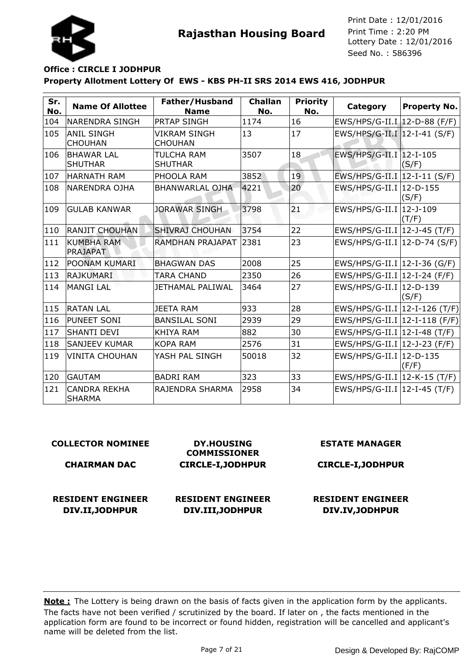

## **Property Allotment Lottery Of EWS - KBS PH-II SRS 2014 EWS 416, JODHPUR Office : CIRCLE I JODHPUR**

| Sr.<br>No. | <b>Name Of Allottee</b>              | Father/Husband<br><b>Name</b>       | <b>Challan</b><br>No. | <b>Priority</b><br>No. | Category                        | <b>Property No.</b> |
|------------|--------------------------------------|-------------------------------------|-----------------------|------------------------|---------------------------------|---------------------|
| 104        | INARENDRA SINGH                      | PRTAP SINGH                         | 1174                  | 16                     | EWS/HPS/G-II.I 12-D-88 (F/F)    |                     |
| 105        | <b>ANIL SINGH</b><br><b>CHOUHAN</b>  | VIKRAM SINGH<br><b>CHOUHAN</b>      | 13                    | 17                     | EWS/HPS/G-II.I   12-I-41 (S/F)  |                     |
| 106        | <b>BHAWAR LAL</b><br><b>SHUTHAR</b>  | <b>TULCHA RAM</b><br><b>SHUTHAR</b> | 3507                  | 18                     | EWS/HPS/G-II.I 12-I-105         | (S/F)               |
| 107        | <b>HARNATH RAM</b>                   | PHOOLA RAM                          | 3852                  | 19                     | EWS/HPS/G-II.I   12-I-11 (S/F)  |                     |
| 108        | NARENDRA OJHA                        | <b>BHANWARLAL OJHA</b>              | 4221                  | 20                     | EWS/HPS/G-II.I   12-D-155       | (S/F)               |
| 109        | <b>GULAB KANWAR</b>                  | <b>JORAWAR SINGH</b>                | 3798                  | 21                     | EWS/HPS/G-II.I   12-J-109       | (T/F)               |
| 110        | <b>RANJIT CHOUHAN</b>                | <b>SHIVRAJ CHOUHAN</b>              | 3754                  | 22                     | EWS/HPS/G-II.I   12-J-45 (T/F)  |                     |
| 111        | <b>KUMBHA RAM</b><br><b>PRAJAPAT</b> | RAMDHAN PRAJAPAT                    | 2381                  | 23                     | EWS/HPS/G-II.I   12-D-74 (S/F)  |                     |
| 112        | POONAM KUMARI                        | <b>BHAGWAN DAS</b>                  | 2008                  | 25                     | EWS/HPS/G-II.I   12-I-36 (G/F)  |                     |
| 113        | RAJKUMARI                            | <b>TARA CHAND</b>                   | 2350                  | 26                     | EWS/HPS/G-II.I   12-I-24 (F/F)  |                     |
| 114        | <b>MANGILAL</b>                      | JETHAMAL PALIWAL                    | 3464                  | 27                     | EWS/HPS/G-II.I   12-D-139       | (S/F)               |
| 115        | <b>RATAN LAL</b>                     | <b>JEETA RAM</b>                    | 933                   | 28                     | EWS/HPS/G-II.I   12-I-126 (T/F) |                     |
| 116        | PUNEET SONI                          | <b>BANSILAL SONI</b>                | 2939                  | 29                     | EWS/HPS/G-II.I   12-I-118 (F/F) |                     |
| 117        | <b>SHANTI DEVI</b>                   | <b>KHIYA RAM</b>                    | 882                   | 30                     | EWS/HPS/G-II.I   12-I-48 (T/F)  |                     |
| 118        | <b>SANJEEV KUMAR</b>                 | <b>KOPA RAM</b>                     | 2576                  | 31                     | EWS/HPS/G-II.I   12-J-23 (F/F)  |                     |
| 119        | <b>VINITA CHOUHAN</b>                | YASH PAL SINGH                      | 50018                 | 32                     | EWS/HPS/G-II.I 12-D-135         | (F/F)               |
| 120        | <b>GAUTAM</b>                        | <b>BADRI RAM</b>                    | 323                   | 33                     | EWS/HPS/G-II.I   12-K-15 (T/F)  |                     |
| 121        | <b>CANDRA REKHA</b><br><b>SHARMA</b> | RAJENDRA SHARMA                     | 2958                  | 34                     | EWS/HPS/G-II.I   12-I-45 (T/F)  |                     |

#### **COLLECTOR NOMINEE**

#### **CHAIRMAN DAC**

**RESIDENT ENGINEER DIV.II,JODHPUR**

**COMMISSIONER CIRCLE-I,JODHPUR**

**DY.HOUSING**

# **ESTATE MANAGER**

## **CIRCLE-I,JODHPUR**

## **RESIDENT ENGINEER DIV.III,JODHPUR**

#### **RESIDENT ENGINEER DIV.IV,JODHPUR**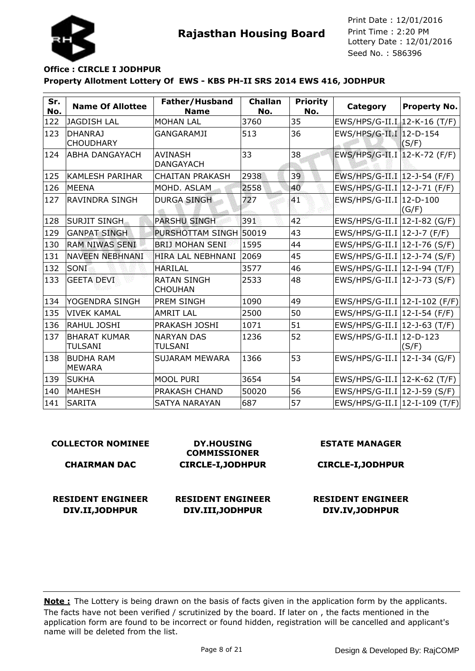



## **Property Allotment Lottery Of EWS - KBS PH-II SRS 2014 EWS 416, JODHPUR Office : CIRCLE I JODHPUR**

| Sr.<br>No. | <b>Name Of Allottee</b>               | Father/Husband<br><b>Name</b>        | <b>Challan</b><br>No. | <b>Priority</b><br>No. | Category                        | <b>Property No.</b> |
|------------|---------------------------------------|--------------------------------------|-----------------------|------------------------|---------------------------------|---------------------|
| 122        | <b>JAGDISH LAL</b>                    | <b>MOHAN LAL</b>                     | 3760                  | 35                     | EWS/HPS/G-II.I 12-K-16 (T/F)    |                     |
| 123        | <b>DHANRAJ</b><br><b>CHOUDHARY</b>    | <b>GANGARAMJI</b>                    | 513                   | 36                     | EWS/HPS/G-II.I 12-D-154         | (S/F)               |
| 124        | <b>ABHA DANGAYACH</b>                 | <b>AVINASH</b><br><b>DANGAYACH</b>   | 33                    | 38                     | EWS/HPS/G-II.I   12-K-72 (F/F)  |                     |
| 125        | <b>KAMLESH PARIHAR</b>                | <b>CHAITAN PRAKASH</b>               | 2938                  | 39                     | EWS/HPS/G-II.I   12-J-54 (F/F)  |                     |
| 126        | lMEENA                                | MOHD, ASLAM                          | 2558                  | 40                     | EWS/HPS/G-II.I   12-J-71 (F/F)  |                     |
| 127        | <b>RAVINDRA SINGH</b>                 | <b>DURGA SINGH</b>                   | 727                   | 41                     | EWS/HPS/G-II.I   12-D-100       | (G/F)               |
| 128        | <b>SURJIT SINGH</b>                   | <b>PARSHU SINGH</b>                  | 391                   | 42                     | EWS/HPS/G-II.I   12-I-82 (G/F)  |                     |
| 129        | <b>GANPAT SINGH</b>                   | PURSHOTTAM SINGH 50019               |                       | 43                     | EWS/HPS/G-II.I   12-J-7 (F/F)   |                     |
| 130        | <b>RAM NIWAS SENI</b>                 | <b>BRIJ MOHAN SENI</b>               | 1595                  | 44                     | EWS/HPS/G-II.I   12-I-76 (S/F)  |                     |
| 131        | <b>NAVEEN NEBHNANI</b>                | HIRA LAL NEBHNANI                    | 2069                  | 45                     | EWS/HPS/G-II.I   12-J-74 (S/F)  |                     |
| 132        | SONI                                  | <b>HARILAL</b>                       | 3577                  | 46                     | EWS/HPS/G-II.I   12-I-94 (T/F)  |                     |
| 133        | <b>GEETA DEVI</b>                     | <b>RATAN SINGH</b><br><b>CHOUHAN</b> | 2533                  | 48                     | EWS/HPS/G-II.I   12-J-73 (S/F)  |                     |
| 134        | YOGENDRA SINGH                        | <b>PREM SINGH</b>                    | 1090                  | 49                     | EWS/HPS/G-II.I   12-I-102 (F/F) |                     |
| 135        | <b>VIVEK KAMAL</b>                    | <b>AMRIT LAL</b>                     | 2500                  | 50                     | $EWS/HPS/G-II.I$ 12-I-54 (F/F)  |                     |
| 136        | <b>RAHUL JOSHI</b>                    | PRAKASH JOSHI                        | 1071                  | 51                     | EWS/HPS/G-II.I   12-J-63 (T/F)  |                     |
| 137        | <b>BHARAT KUMAR</b><br><b>TULSANI</b> | <b>NARYAN DAS</b><br><b>TULSANI</b>  | 1236                  | 52                     | EWS/HPS/G-II.I   12-D-123       | (S/F)               |
| 138        | <b>BUDHA RAM</b><br><b>MEWARA</b>     | SUJARAM MEWARA                       | 1366                  | 53                     | EWS/HPS/G-II.I   12-I-34 (G/F)  |                     |
| 139        | SUKHA                                 | MOOL PURI                            | 3654                  | 54                     | EWS/HPS/G-II.I   12-K-62 (T/F)  |                     |
| 140        | MAHESH                                | PRAKASH CHAND                        | 50020                 | 56                     | EWS/HPS/G-II.I   12-J-59 (S/F)  |                     |
| 141        | <b>SARITA</b>                         | <b>SATYA NARAYAN</b>                 | 687                   | 57                     | EWS/HPS/G-II.I   12-I-109 (T/F) |                     |

| <b>COLLECTOR NOMINEE</b>                    | <b>DY.HOUSING</b><br><b>COMMISSIONER</b>     | <b>ESTATE MANAGER</b>                       |  |  |
|---------------------------------------------|----------------------------------------------|---------------------------------------------|--|--|
| <b>CHAIRMAN DAC</b>                         | <b>CIRCLE-I, JODHPUR</b>                     | <b>CIRCLE-I, JODHPUR</b>                    |  |  |
| <b>RESIDENT ENGINEER</b><br>DIV.II, JODHPUR | <b>RESIDENT ENGINEER</b><br>DIV.III, JODHPUR | <b>RESIDENT ENGINEER</b><br>DIV.IV, JODHPUR |  |  |
|                                             |                                              |                                             |  |  |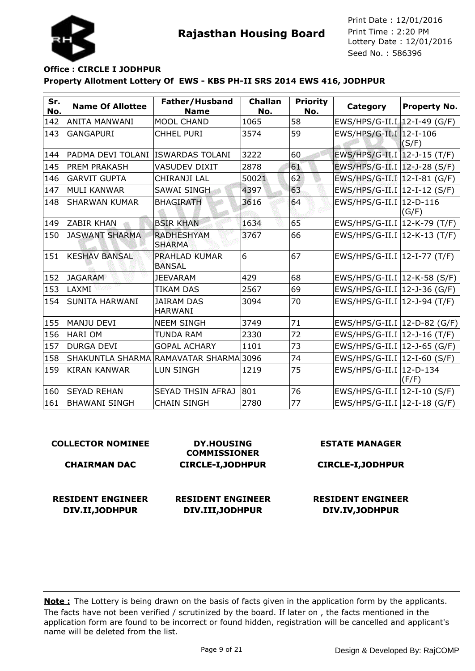



## **Property Allotment Lottery Of EWS - KBS PH-II SRS 2014 EWS 416, JODHPUR Office : CIRCLE I JODHPUR**

| Sr.<br>No. | <b>Name Of Allottee</b> | Father/Husband<br><b>Name</b>          | <b>Challan</b><br>No. | <b>Priority</b><br>No. | Category                             | <b>Property No.</b> |
|------------|-------------------------|----------------------------------------|-----------------------|------------------------|--------------------------------------|---------------------|
| 142        | ANITA MANWANI           | <b>MOOL CHAND</b>                      | 1065                  | 58                     | EWS/HPS/G-II.I 12-I-49 (G/F)         |                     |
| 143        | <b>GANGAPURI</b>        | <b>CHHEL PURI</b>                      | 3574                  | 59                     | EWS/HPS/G-II.I 12-I-106              | (S/F)               |
| 144        | PADMA DEVI TOLANI       | <b>ISWARDAS TOLANI</b>                 | 3222                  | 60                     | EWS/HPS/G-II.I 12-J-15 (T/F)         |                     |
| 145        | <b>PREM PRAKASH</b>     | <b>VASUDEV DIXIT</b>                   | 2878                  | 61                     | EWS/HPS/G-II.I   12-J-28 (S/F)       |                     |
| 146        | <b>GARVIT GUPTA</b>     | CHIRANJI LAL                           | 50021                 | 62                     | EWS/HPS/G-II.I   12-I-81 (G/F)       |                     |
| 147        | <b>MULI KANWAR</b>      | <b>SAWAI SINGH</b>                     | 4397                  | 63                     | $EWS/HPS/G-II.I$ 12-I-12 (S/F)       |                     |
| 148        | <b>SHARWAN KUMAR</b>    | <b>BHAGIRATH</b>                       | 3616                  | 64                     | EWS/HPS/G-II.I   12-D-116            | (G/F)               |
| 149        | <b>ZABIR KHAN</b>       | <b>BSIR KHAN</b>                       | 1634                  | 65                     | EWS/HPS/G-II.I   12-K-79 (T/F)       |                     |
| 150        | <b>JASWANT SHARMA</b>   | <b>RADHESHYAM</b><br><b>SHARMA</b>     | 3767                  | 66                     | EWS/HPS/G-II.I   12-K-13 (T/F)       |                     |
| 151        | <b>KESHAV BANSAL</b>    | PRAHLAD KUMAR<br><b>BANSAL</b>         | 6                     | 67                     | EWS/HPS/G-II.I   12-I-77 (T/F)       |                     |
| 152        | <b>JAGARAM</b>          | <b>JEEVARAM</b>                        | 429                   | 68                     | EWS/HPS/G-II.I   12-K-58 (S/F)       |                     |
| 153        | LAXMI                   | <b>TIKAM DAS</b>                       | 2567                  | 69                     | EWS/HPS/G-II.I   12-J-36 (G/F)       |                     |
| 154        | <b>SUNITA HARWANI</b>   | <b>JAIRAM DAS</b><br><b>HARWANI</b>    | 3094                  | 70                     | EWS/HPS/G-II.I $ 12 - J - 94 (T/F) $ |                     |
| 155        | MANJU DEVI              | <b>NEEM SINGH</b>                      | 3749                  | 71                     | EWS/HPS/G-II.I   12-D-82 (G/F)       |                     |
| 156        | <b>HARIOM</b>           | <b>TUNDA RAM</b>                       | 2330                  | 72                     | EWS/HPS/G-II.I $ 12 - J - 16$ (T/F)  |                     |
| 157        | <b>DURGA DEVI</b>       | <b>GOPAL ACHARY</b>                    | 1101                  | 73                     | EWS/HPS/G-II.I   12-J-65 (G/F)       |                     |
| 158        |                         | SHAKUNTLA SHARMA RAMAVATAR SHARMA 3096 |                       | 74                     | EWS/HPS/G-II.I   12-I-60 (S/F)       |                     |
| 159        | <b>KIRAN KANWAR</b>     | <b>LUN SINGH</b>                       | 1219                  | 75                     | EWS/HPS/G-II.I   12-D-134            | (F/F)               |
| 160        | <b>SEYAD REHAN</b>      | SEYAD THSIN AFRAJ                      | 801                   | 76                     | EWS/HPS/G-II.I $ 12-I-10(S/F) $      |                     |
| 161        | <b>BHAWANI SINGH</b>    | <b>CHAIN SINGH</b>                     | 2780                  | 77                     | EWS/HPS/G-II.I $ 12$ -I-18 (G/F)     |                     |

| <b>COLLECTOR NOMINEE</b> | <b>DY.HOUSING</b><br><b>COMMISSIONER</b> | <b>ESTATE MANAGER</b>    |  |  |
|--------------------------|------------------------------------------|--------------------------|--|--|
| <b>CHAIRMAN DAC</b>      | <b>CIRCLE-I, JODHPUR</b>                 | <b>CIRCLE-I, JODHPUR</b> |  |  |
| <b>RESIDENT ENGINEER</b> | <b>RESIDENT ENGINEER</b>                 | <b>RESIDENT ENGINEER</b> |  |  |
| DIV.II, JODHPUR          | DIV.III, JODHPUR                         | DIV.IV, JODHPUR          |  |  |
|                          |                                          |                          |  |  |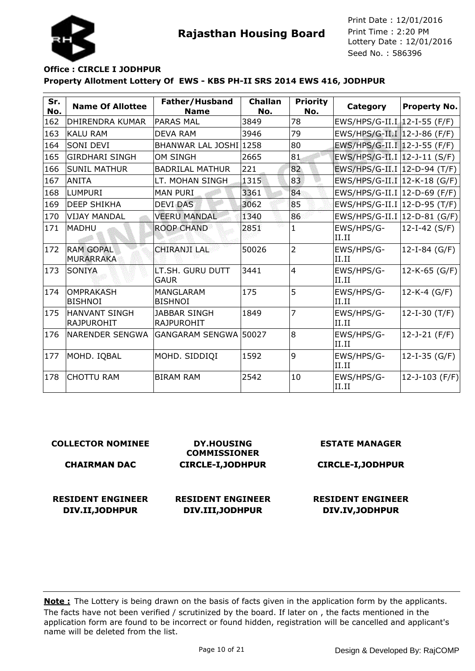



## **Property Allotment Lottery Of EWS - KBS PH-II SRS 2014 EWS 416, JODHPUR Office : CIRCLE I JODHPUR**

| Sr.<br>No. | <b>Name Of Allottee</b>                   | Father/Husband<br><b>Name</b>            | <b>Challan</b><br>No. | <b>Priority</b><br>No. | Category                       | <b>Property No.</b> |
|------------|-------------------------------------------|------------------------------------------|-----------------------|------------------------|--------------------------------|---------------------|
| 162        | <b>DHIRENDRA KUMAR</b>                    | <b>PARAS MAL</b>                         | 3849                  | 78                     | EWS/HPS/G-II.I 12-I-55 (F/F)   |                     |
| 163        | <b>KALU RAM</b>                           | <b>DEVA RAM</b>                          | 3946                  | 79                     | EWS/HPS/G-II.I 12-J-86 (F/F)   |                     |
| 164        | <b>SONI DEVI</b>                          | BHANWAR LAL JOSHI 1258                   |                       | 80                     | EWS/HPS/G-II.I 12-J-55 (F/F)   |                     |
| 165        | <b>GIRDHARI SINGH</b>                     | <b>OM SINGH</b>                          | 2665                  | 81                     | EWS/HPS/G-II.I   12-J-11 (S/F) |                     |
| 166        | <b>SUNIL MATHUR</b>                       | <b>BADRILAL MATHUR</b>                   | 221                   | 82                     | EWS/HPS/G-II.I   12-D-94 (T/F) |                     |
| 167        | <b>ANITA</b>                              | LT. MOHAN SINGH                          | 1315                  | 83                     | EWS/HPS/G-II.I   12-K-18 (G/F) |                     |
| 168        | <b>LUMPURI</b>                            | <b>MAN PURI</b>                          | 3361                  | 84                     | EWS/HPS/G-II.I   12-D-69 (F/F) |                     |
| 169        | <b>DEEP SHIKHA</b>                        | <b>DEVI DAS</b>                          | 3062                  | 85                     | EWS/HPS/G-II.I   12-D-95 (T/F) |                     |
| 170        | <b>VIJAY MANDAL</b>                       | <b>VEERU MANDAL</b>                      | 1340                  | 86                     | EWS/HPS/G-II.I   12-D-81 (G/F) |                     |
| 171        | MADHU                                     | <b>ROOP CHAND</b>                        | 2851                  | $\mathbf{1}$           | EWS/HPS/G-<br>II.II            | $12-I-42 (S/F)$     |
| 172        | <b>RAM GOPAL</b><br><b>MURARRAKA</b>      | <b>CHIRANJI LAL</b>                      | 50026                 | $\overline{2}$         | EWS/HPS/G-<br>II.II            | 12-I-84 (G/F)       |
| 173        | <b>SONIYA</b>                             | LT.SH. GURU DUTT<br><b>GAUR</b>          | 3441                  | $\overline{4}$         | EWS/HPS/G-<br>II.II            | 12-K-65 (G/F)       |
| 174        | <b>OMPRAKASH</b><br><b>BISHNOI</b>        | <b>MANGLARAM</b><br><b>BISHNOI</b>       | 175                   | 5                      | EWS/HPS/G-<br>II.II            | 12-K-4 (G/F)        |
| 175        | <b>HANVANT SINGH</b><br><b>RAJPUROHIT</b> | <b>JABBAR SINGH</b><br><b>RAJPUROHIT</b> | 1849                  | 7                      | EWS/HPS/G-<br>II.II            | $12-I-30$ (T/F)     |
| 176        | <b>NARENDER SENGWA</b>                    | GANGARAM SENGWA   50027                  |                       | 8                      | EWS/HPS/G-<br>II.II            | $12 - J - 21$ (F/F) |
| 177        | MOHD. IQBAL                               | MOHD. SIDDIQI                            | 1592                  | 9                      | EWS/HPS/G-<br>II.II            | $12-I-35$ (G/F)     |
| 178        | <b>CHOTTU RAM</b>                         | <b>BIRAM RAM</b>                         | 2542                  | 10                     | EWS/HPS/G-<br>II.II            | 12-J-103 (F/F)      |

#### **COLLECTOR NOMINEE CHAIRMAN DAC DY.HOUSING COMMISSIONER CIRCLE-I,JODHPUR ESTATE MANAGER CIRCLE-I,JODHPUR RESIDENT ENGINEER DIV.II,JODHPUR RESIDENT ENGINEER DIV.III,JODHPUR RESIDENT ENGINEER DIV.IV,JODHPUR**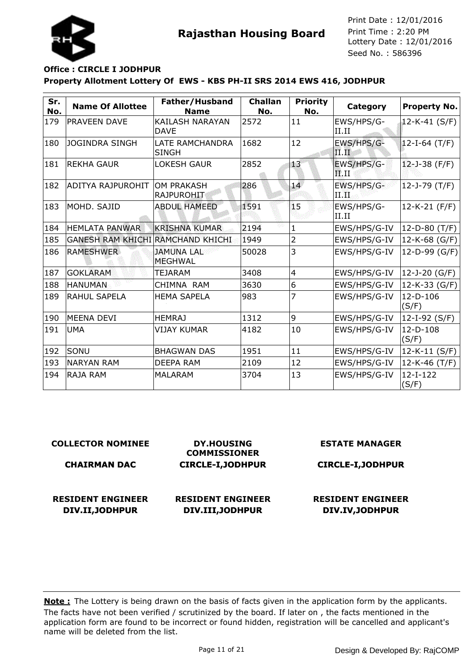

# **Property Allotment Lottery Of EWS - KBS PH-II SRS 2014 EWS 416, JODHPUR Office : CIRCLE I JODHPUR**

| Sr.<br>No. | <b>Name Of Allottee</b>           | Father/Husband<br><b>Name</b>         | <b>Challan</b><br>No. | <b>Priority</b><br>No. | Category                                | <b>Property No.</b> |
|------------|-----------------------------------|---------------------------------------|-----------------------|------------------------|-----------------------------------------|---------------------|
| 179        | PRAVEEN DAVE                      | <b>KAILASH NARAYAN</b><br><b>DAVE</b> | 2572                  | 11                     | EWS/HPS/G-<br>II.II                     | 12-K-41 (S/F)       |
| 180        | <b>JOGINDRA SINGH</b>             | LATE RAMCHANDRA<br><b>SINGH</b>       | 1682                  | 12                     | EWS/HPS/G-<br>$\mathbf{II}.\mathbf{II}$ | $12-I-64$ (T/F)     |
| 181        | IREKHA GAUR                       | <b>LOKESH GAUR</b>                    | 2852                  | 13 <sup>°</sup>        | EWS/HPS/G-<br>$F$ .II                   | $12 - J - 38$ (F/F) |
| 182        | ADITYA RAJPUROHIT                 | OM PRAKASH<br>RAJPUROHIT              | 286                   | 14                     | EWS/HPS/G-<br>II W.                     | $12 - J - 79$ (T/F) |
| 183        | MOHD, SAJID                       | <b>ABDUL HAMEED</b>                   | 1591                  | 15                     | EWS/HPS/G-<br>II.II                     | 12-K-21 (F/F)       |
| 184        | <b>HEMLATA PANWAR</b>             | IKRISHNA KUMAR                        | 2194                  | $\mathbf{1}$           | EWS/HPS/G-IV                            | 12-D-80 (T/F)       |
| 185        | GANESH RAM KHICHI RAMCHAND KHICHI |                                       | 1949                  | 2                      | EWS/HPS/G-IV                            | 12-K-68 (G/F)       |
| 186        | <b>RAMESHWER</b>                  | <b>JAMUNA LAL</b><br><b>MEGHWAL</b>   | 50028                 | 3                      | EWS/HPS/G-IV                            | 12-D-99 (G/F)       |
| 187        | <b>GOKLARAM</b>                   | <b>TEJARAM</b>                        | 3408                  | $\overline{4}$         | EWS/HPS/G-IV                            | 12-J-20 (G/F)       |
| 188        | <b>HANUMAN</b>                    | CHIMNA RAM                            | 3630                  | 6                      | EWS/HPS/G-IV                            | 12-K-33 (G/F)       |
| 189        | <b>RAHUL SAPELA</b>               | <b>HEMA SAPELA</b>                    | 983                   | 7                      | EWS/HPS/G-IV                            | $12-D-106$<br>(S/F) |
| 190        | <b>MEENA DEVI</b>                 | <b>HEMRAJ</b>                         | 1312                  | 9                      | EWS/HPS/G-IV                            | 12-I-92 (S/F)       |
| 191        | <b>UMA</b>                        | <b>VIJAY KUMAR</b>                    | 4182                  | 10                     | EWS/HPS/G-IV                            | 12-D-108<br>(S/F)   |
| 192        | SONU                              | <b>BHAGWAN DAS</b>                    | 1951                  | 11                     | EWS/HPS/G-IV                            | 12-K-11 (S/F)       |
| 193        | <b>NARYAN RAM</b>                 | <b>DEEPA RAM</b>                      | 2109                  | 12                     | EWS/HPS/G-IV                            | $12-K-46$ (T/F)     |
| 194        | <b>RAJA RAM</b>                   | <b>MALARAM</b>                        | 3704                  | 13                     | EWS/HPS/G-IV                            | $12-I-122$<br>(S/F) |

| <b>COLLECTOR NOMINEE</b> | <b>DY.HOUSING</b><br><b>COMMISSIONER</b> | <b>ESTATE MANAGER</b>    |  |  |
|--------------------------|------------------------------------------|--------------------------|--|--|
| <b>CHAIRMAN DAC</b>      | <b>CIRCLE-I, JODHPUR</b>                 | <b>CIRCLE-I, JODHPUR</b> |  |  |
|                          |                                          |                          |  |  |
| <b>RESIDENT ENGINEER</b> | <b>RESIDENT ENGINEER</b>                 | <b>RESIDENT ENGINEER</b> |  |  |
| DIV.II, JODHPUR          | DIV.III, JODHPUR                         | DIV.IV, JODHPUR          |  |  |
|                          |                                          |                          |  |  |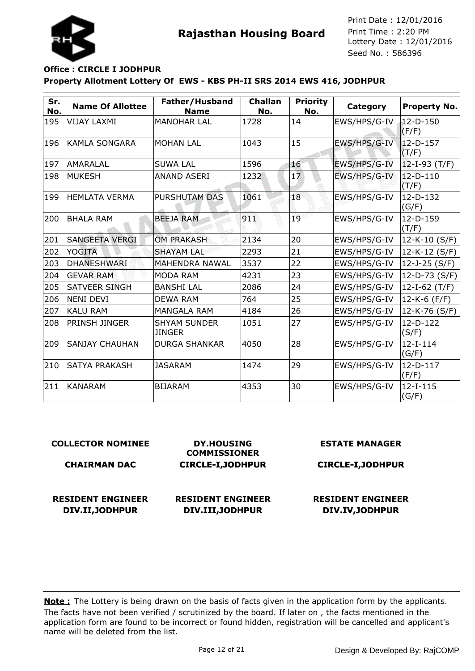

## **Property Allotment Lottery Of EWS - KBS PH-II SRS 2014 EWS 416, JODHPUR Office : CIRCLE I JODHPUR**

| Sr.<br>No. | <b>Name Of Allottee</b> | Father/Husband<br><b>Name</b>        | <b>Challan</b><br>No. | <b>Priority</b><br>No. | Category     | <b>Property No.</b>   |
|------------|-------------------------|--------------------------------------|-----------------------|------------------------|--------------|-----------------------|
| 195        | <b>VIJAY LAXMI</b>      | <b>MANOHAR LAL</b>                   | 1728                  | 14                     | EWS/HPS/G-IV | $12-D-150$<br>(F/F)   |
| 196        | IKAMLA SONGARA          | <b>MOHAN LAL</b>                     | 1043                  | 15                     | EWS/HPS/G-IV | 12-D-157<br>(T/F)     |
| 197        | AMARALAL                | <b>SUWA LAL</b>                      | 1596                  | 16                     | EWS/HPS/G-IV | $ 12 - I - 93 (T/F) $ |
| 198        | <b>MUKESH</b>           | <b>ANAND ASERI</b>                   | 1232                  | 17                     | EWS/HPS/G-IV | $12-D-110$<br>(T/F)   |
| 199        | <b>HEMLATA VERMA</b>    | PURSHUTAM DAS                        | 1061                  | 18                     | EWS/HPS/G-IV | 12-D-132<br>(G/F)     |
| 200        | <b>BHALA RAM</b>        | <b>BEEJA RAM</b>                     | 911                   | 19                     | EWS/HPS/G-IV | $12-D-159$<br>(T/F)   |
| 201        | <b>SANGEETA VERGI</b>   | <b>OM PRAKASH</b>                    | 2134                  | 20                     | EWS/HPS/G-IV | $12-K-10(S/F)$        |
| 202        | <b>YOGITA</b>           | <b>SHAYAM LAL</b>                    | 2293                  | 21                     | EWS/HPS/G-IV | 12-K-12 (S/F)         |
| 203        | <b>DHANESHWARI</b>      | <b>MAHENDRA NAWAL</b>                | 3537                  | 22                     | EWS/HPS/G-IV | 12-J-25 (S/F)         |
| 204        | <b>GEVAR RAM</b>        | <b>MODA RAM</b>                      | 4231                  | 23                     | EWS/HPS/G-IV | 12-D-73 (S/F)         |
| 205        | <b>SATVEER SINGH</b>    | <b>BANSHI LAL</b>                    | 2086                  | 24                     | EWS/HPS/G-IV | 12-I-62 (T/F)         |
| 206        | NENI DEVI               | <b>DEWA RAM</b>                      | 764                   | 25                     | EWS/HPS/G-IV | 12-K-6 (F/F)          |
| 207        | <b>KALU RAM</b>         | <b>MANGALA RAM</b>                   | 4184                  | 26                     | EWS/HPS/G-IV | 12-K-76 (S/F)         |
| 208        | PRINSH JINGER           | <b>SHYAM SUNDER</b><br><b>JINGER</b> | 1051                  | 27                     | EWS/HPS/G-IV | $12-D-122$<br>(S/F)   |
| 209        | <b>SANJAY CHAUHAN</b>   | <b>DURGA SHANKAR</b>                 | 4050                  | 28                     | EWS/HPS/G-IV | $12-I-114$<br>(G/F)   |
| 210        | <b>SATYA PRAKASH</b>    | <b>JASARAM</b>                       | 1474                  | 29                     | EWS/HPS/G-IV | $12-D-117$<br>(F/F)   |
| 211        | <b>KANARAM</b>          | <b>BIJARAM</b>                       | 4353                  | 30                     | EWS/HPS/G-IV | $12-I-115$<br>(G/F)   |

## **COLLECTOR NOMINEE**

#### **CHAIRMAN DAC**

**RESIDENT ENGINEER**

**DIV.II,JODHPUR**

**DY.HOUSING COMMISSIONER CIRCLE-I,JODHPUR**

## **RESIDENT ENGINEER DIV.III,JODHPUR**

#### **ESTATE MANAGER**

## **CIRCLE-I,JODHPUR**

## **RESIDENT ENGINEER DIV.IV,JODHPUR**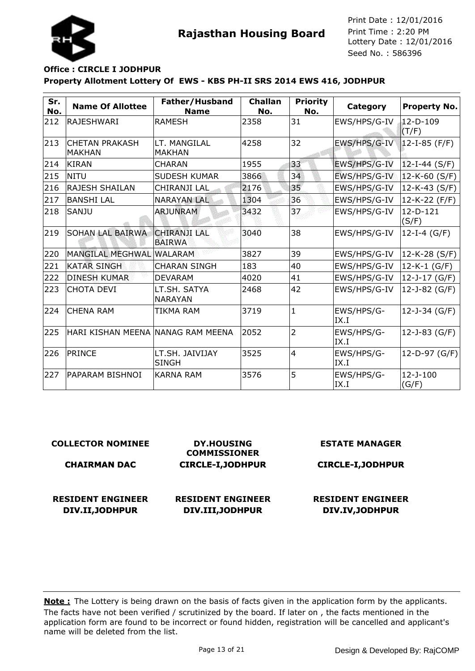



## **Property Allotment Lottery Of EWS - KBS PH-II SRS 2014 EWS 416, JODHPUR Office : CIRCLE I JODHPUR**

| Sr.<br>No. | <b>Name Of Allottee</b>                | Father/Husband<br><b>Name</b>        | <b>Challan</b><br>No. | <b>Priority</b><br>No. | Category           | <b>Property No.</b>     |
|------------|----------------------------------------|--------------------------------------|-----------------------|------------------------|--------------------|-------------------------|
| 212        | <b>RAJESHWARI</b>                      | <b>RAMESH</b>                        | 2358                  | 31                     | EWS/HPS/G-IV       | $12-D-109$<br>(T/F)     |
| 213        | <b>CHETAN PRAKASH</b><br><b>MAKHAN</b> | LT. MANGILAL<br><b>MAKHAN</b>        | 4258                  | 32                     | EWS/HPS/G-IV       | $12-I-85$ (F/F)         |
| 214        | KIRAN                                  | <b>CHARAN</b>                        | 1955                  | 33                     | EWS/HPS/G-IV       | $12-I-44 (S/F)$         |
| 215        | NITU                                   | <b>SUDESH KUMAR</b>                  | 3866                  | 34                     | EWS/HPS/G-IV       | 12-K-60 (S/F)           |
| 216        | <b>RAJESH SHAILAN</b>                  | CHIRANJI LAL                         | 2176                  | 35                     | EWS/HPS/G-IV       | 12-K-43 (S/F)           |
| 217        | <b>BANSHI LAL</b>                      | <b>NARAYAN LAL</b>                   | 1304                  | 36                     | EWS/HPS/G-IV       | 12-K-22 (F/F)           |
| 218        | <b>SANJU</b>                           | <b>ARJUNRAM</b>                      | 3432                  | 37                     | EWS/HPS/G-IV       | 12-D-121<br>(S/F)       |
| 219        | <b>SOHAN LAL BAIRWA</b>                | <b>CHIRANJI LAL</b><br><b>BAIRWA</b> | 3040                  | 38                     | EWS/HPS/G-IV       | 12-I-4 $(G/F)$          |
| 220        | <b>MANGILAL MEGHWAL</b>                | <b>WALARAM</b>                       | 3827                  | 39                     | EWS/HPS/G-IV       | 12-K-28 (S/F)           |
| 221        | <b>KATAR SINGH</b>                     | <b>CHARAN SINGH</b>                  | 183                   | 40                     | EWS/HPS/G-IV       | $12-K-1$ (G/F)          |
| 222        | <b>DINESH KUMAR</b>                    | <b>DEVARAM</b>                       | 4020                  | 41                     | EWS/HPS/G-IV       | 12-J-17 (G/F)           |
| 223        | <b>CHOTA DEVI</b>                      | LT.SH. SATYA<br><b>NARAYAN</b>       | 2468                  | 42                     | EWS/HPS/G-IV       | 12-J-82 (G/F)           |
| 224        | <b>CHENA RAM</b>                       | TIKMA RAM                            | 3719                  | $\mathbf{1}$           | EWS/HPS/G-<br>IX.I | 12-J-34 (G/F)           |
| 225        | HARI KISHAN MEENA INANAG RAM MEENA     |                                      | 2052                  | $\overline{2}$         | EWS/HPS/G-<br>IX.I | 12-J-83 (G/F)           |
| 226        | <b>PRINCE</b>                          | LT.SH. JAIVIJAY<br><b>SINGH</b>      | 3525                  | $\overline{4}$         | EWS/HPS/G-<br>IX.I | 12-D-97 (G/F)           |
| 227        | PAPARAM BISHNOI                        | <b>KARNA RAM</b>                     | 3576                  | 5                      | EWS/HPS/G-<br>IX.I | $12 - J - 100$<br>(G/F) |

| <b>COLLECTOR NOMINEE</b> | <b>DY.HOUSING</b><br><b>COMMISSIONER</b> | <b>ESTATE MANAGER</b>    |  |  |
|--------------------------|------------------------------------------|--------------------------|--|--|
| <b>CHAIRMAN DAC</b>      | <b>CIRCLE-I, JODHPUR</b>                 | <b>CIRCLE-I, JODHPUR</b> |  |  |
|                          |                                          |                          |  |  |
| <b>RESIDENT ENGINEER</b> | <b>RESIDENT ENGINEER</b>                 | <b>RESIDENT ENGINEER</b> |  |  |
| DIV.II, JODHPUR          | DIV.III, JODHPUR                         | DIV.IV, JODHPUR          |  |  |
|                          |                                          |                          |  |  |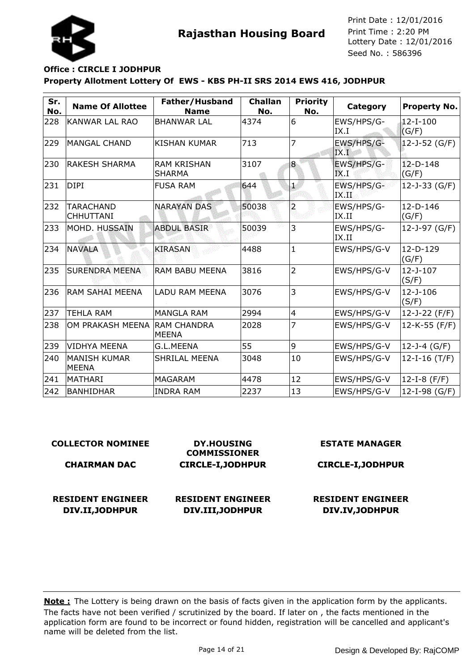

## **Property Allotment Lottery Of EWS - KBS PH-II SRS 2014 EWS 416, JODHPUR Office : CIRCLE I JODHPUR**

| Sr.<br>No. | <b>Name Of Allottee</b>              | Father/Husband<br><b>Name</b>       | <b>Challan</b><br>No. | <b>Priority</b><br>No. | Category             | Property No.            |
|------------|--------------------------------------|-------------------------------------|-----------------------|------------------------|----------------------|-------------------------|
| 228        | <b>KANWAR LAL RAO</b>                | <b>BHANWAR LAL</b>                  | 4374                  | 6                      | EWS/HPS/G-<br>IX.I   | $12-I-100$<br>(G/F)     |
| 229        | MANGAL CHAND                         | <b>KISHAN KUMAR</b>                 | 713                   | 7                      | EWS/HPS/G-<br>IX.I   | 12-J-52 (G/F)           |
| 230        | <b>RAKESH SHARMA</b>                 | <b>RAM KRISHAN</b><br><b>SHARMA</b> | 3107                  | 8                      | EWS/HPS/G-<br>IX.I   | $12 - D - 148$<br>(G/F) |
| 231        | DIPI                                 | <b>FUSA RAM</b>                     | 644                   | 1                      | EWS/HPS/G-<br>IX:II. | $12 - J - 33$ (G/F)     |
| 232        | <b>TARACHAND</b><br><b>CHHUTTANI</b> | <b>NARAYAN DAS</b>                  | 50038                 | $\overline{a}$         | EWS/HPS/G-<br>IX.II  | $12-D-146$<br>(G/F)     |
| 233        | MOHD. HUSSAIN                        | <b>ABDUL BASIR</b>                  | 50039                 | 3                      | EWS/HPS/G-<br>IX.II  | 12-J-97 (G/F)           |
| 234        | <b>NAVALA</b>                        | <b>KIRASAN</b>                      | 4488                  | $\mathbf{1}$           | EWS/HPS/G-V          | $12-D-129$<br>(G/F)     |
| 235        | <b>SURENDRA MEENA</b>                | <b>RAM BABU MEENA</b>               | 3816                  | $\overline{2}$         | EWS/HPS/G-V          | $12 - J - 107$<br>(S/F) |
| 236        | RAM SAHAI MEENA                      | LADU RAM MEENA                      | 3076                  | 3                      | EWS/HPS/G-V          | $12 - J - 106$<br>(S/F) |
| 237        | <b>TEHLA RAM</b>                     | <b>MANGLA RAM</b>                   | 2994                  | $\overline{4}$         | EWS/HPS/G-V          | 12-J-22 (F/F)           |
| 238        | OM PRAKASH MEENA                     | <b>IRAM CHANDRA</b><br><b>MEENA</b> | 2028                  | 7                      | EWS/HPS/G-V          | 12-K-55 (F/F)           |
| 239        | <b>VIDHYA MEENA</b>                  | G.L.MEENA                           | 55                    | 9                      | EWS/HPS/G-V          | 12-J-4 (G/F)            |
| 240        | <b>MANISH KUMAR</b><br><b>MEENA</b>  | <b>SHRILAL MEENA</b>                | 3048                  | 10                     | EWS/HPS/G-V          | 12-I-16 $(T/F)$         |
| 241        | <b>MATHARI</b>                       | <b>MAGARAM</b>                      | 4478                  | 12                     | EWS/HPS/G-V          | 12-I-8 (F/F)            |
| 242        | <b>BANHIDHAR</b>                     | <b>INDRA RAM</b>                    | 2237                  | 13                     | EWS/HPS/G-V          | 12-I-98 (G/F)           |

| <b>COLLECTOR NOMINEE</b><br><b>CHAIRMAN DAC</b> | <b>DY.HOUSING</b><br><b>COMMISSIONER</b><br><b>CIRCLE-I, JODHPUR</b> | <b>ESTATE MANAGER</b><br><b>CIRCLE-I, JODHPUR</b> |  |  |
|-------------------------------------------------|----------------------------------------------------------------------|---------------------------------------------------|--|--|
| <b>RESIDENT ENGINEER</b>                        | <b>RESIDENT ENGINEER</b>                                             | <b>RESIDENT ENGINEER</b>                          |  |  |
| DIV.II, JODHPUR                                 | DIV.III, JODHPUR                                                     | DIV.IV, JODHPUR                                   |  |  |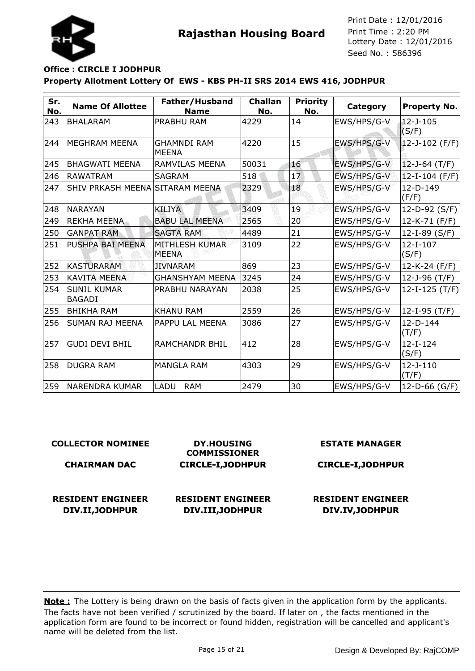

## **Property Allotment Lottery Of EWS - KBS PH-II SRS 2014 EWS 416, JODHPUR Office : CIRCLE I JODHPUR**

| Sr.<br>No. | <b>Name Of Allottee</b>             | Father/Husband<br><b>Name</b>      | <b>Challan</b><br>No. | <b>Priority</b><br>No. | Category    | <b>Property No.</b>     |
|------------|-------------------------------------|------------------------------------|-----------------------|------------------------|-------------|-------------------------|
| 243        | <b>BHALARAM</b>                     | PRABHU RAM                         | 4229                  | 14                     | EWS/HPS/G-V | $12 - J - 105$<br>(S/F) |
| 244        | MEGHRAM MEENA                       | <b>GHAMNDI RAM</b><br><b>MEENA</b> | 4220                  | 15                     | EWS/HPS/G-V | $ 12 - J - 102$ (F/F)   |
| 245        | <b>BHAGWATI MEENA</b>               | RAMVILAS MEENA                     | 50031                 | 16                     | EWS/HPS/G-V | 12-J-64 (T/F)           |
| 246        | <b>RAWATRAM</b>                     | <b>SAGRAM</b>                      | 518                   | 17                     | EWS/HPS/G-V | $12-I-104$ (F/F)        |
| 247        | SHIV PRKASH MEENA SITARAM MEENA     |                                    | 2329                  | 18                     | EWS/HPS/G-V | $12-D-149$<br>(F/F)     |
| 248        | <b>NARAYAN</b>                      | <b>KILIYA</b>                      | 3409                  | 19                     | EWS/HPS/G-V | 12-D-92 (S/F)           |
| 249        | <b>REKHA MEENA</b>                  | <b>BABU LAL MEENA</b>              | 2565                  | 20                     | EWS/HPS/G-V | $12-K-71$ (F/F)         |
| 250        | <b>GANPAT RAM</b>                   | <b>SAGTA RAM</b>                   | 4489                  | 21                     | EWS/HPS/G-V | $12-I-89(S/F)$          |
| 251        | PUSHPA BAI MEENA                    | MITHLESH KUMAR<br><b>MEENA</b>     | 3109                  | 22                     | EWS/HPS/G-V | $12-I-107$<br>(S/F)     |
| 252        | <b>KASTURARAM</b>                   | <b>JIVNARAM</b>                    | 869                   | 23                     | EWS/HPS/G-V | 12-K-24 (F/F)           |
| 253        | <b>KAVITA MEENA</b>                 | <b>GHANSHYAM MEENA</b>             | 3245                  | 24                     | EWS/HPS/G-V | 12-J-96 $(T/F)$         |
| 254        | <b>SUNIL KUMAR</b><br><b>BAGADI</b> | PRABHU NARAYAN                     | 2038                  | 25                     | EWS/HPS/G-V | 12-I-125 (T/F)          |
| 255        | <b>BHIKHA RAM</b>                   | <b>KHANU RAM</b>                   | 2559                  | 26                     | EWS/HPS/G-V | $12-I-95$ (T/F)         |
| 256        | SUMAN RAJ MEENA                     | PAPPU LAL MEENA                    | 3086                  | 27                     | EWS/HPS/G-V | 12-D-144<br>(T/F)       |
| 257        | <b>GUDI DEVI BHIL</b>               | <b>RAMCHANDR BHIL</b>              | 412                   | 28                     | EWS/HPS/G-V | $12-I-124$<br>(S/F)     |
| 258        | <b>DUGRA RAM</b>                    | <b>MANGLA RAM</b>                  | 4303                  | 29                     | EWS/HPS/G-V | $12 - J - 110$<br>(T/F) |
| 259        | NARENDRA KUMAR                      | LADU<br><b>RAM</b>                 | 2479                  | 30                     | EWS/HPS/G-V | $ 12 - D - 66$ (G/F)    |

| <b>COLLECTOR NOMINEE</b> | <b>DY.HOUSING</b><br><b>COMMISSIONER</b> | <b>ESTATE MANAGER</b>    |  |  |
|--------------------------|------------------------------------------|--------------------------|--|--|
| <b>CHAIRMAN DAC</b>      | <b>CIRCLE-I, JODHPUR</b>                 | <b>CIRCLE-I, JODHPUR</b> |  |  |
|                          |                                          |                          |  |  |
| <b>RESIDENT ENGINEER</b> | <b>RESIDENT ENGINEER</b>                 | <b>RESIDENT ENGINEER</b> |  |  |
| DIV.II, JODHPUR          | DIV.III, JODHPUR                         | DIV.IV, JODHPUR          |  |  |
|                          |                                          |                          |  |  |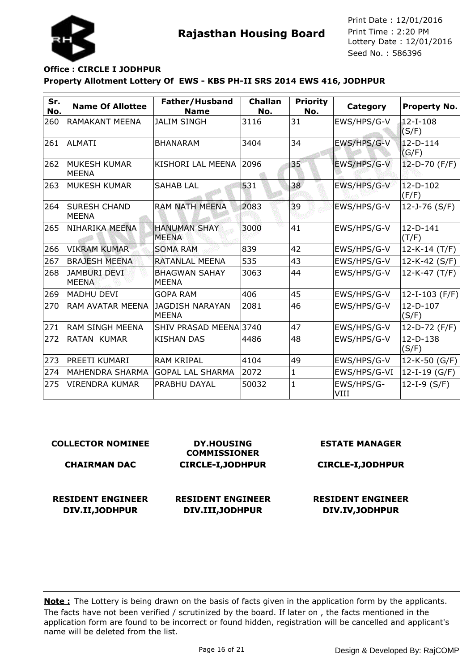

# **Property Allotment Lottery Of EWS - KBS PH-II SRS 2014 EWS 416, JODHPUR Office : CIRCLE I JODHPUR**

| Sr.<br>No. | <b>Name Of Allottee</b>             | Father/Husband<br><b>Name</b>        | <b>Challan</b><br>No. | <b>Priority</b><br>No. | Category           | <b>Property No.</b>     |
|------------|-------------------------------------|--------------------------------------|-----------------------|------------------------|--------------------|-------------------------|
| 260        | <b>RAMAKANT MEENA</b>               | <b>JALIM SINGH</b>                   | 3116                  | 31                     | EWS/HPS/G-V        | $12-I-108$<br>(S/F)     |
| 261        | lALMATI                             | <b>BHANARAM</b>                      | 3404                  | 34                     | EWS/HPS/G-V        | $12 - D - 114$<br>(G/F) |
| 262        | <b>MUKESH KUMAR</b><br><b>MEENA</b> | KISHORI LAL MEENA                    | 2096                  | 35                     | EWS/HPS/G-V        | $12-D-70$ (F/F)         |
| 263        | <b>MUKESH KUMAR</b>                 | <b>SAHAB LAL</b>                     | 531                   | 38                     | EWS/HPS/G-V        | $12-D-102$<br>(F/F)     |
| 264        | <b>SURESH CHAND</b><br><b>MEENA</b> | <b>RAM NATH MEENA</b>                | 2083                  | 39                     | EWS/HPS/G-V        | 12-J-76 (S/F)           |
| 265        | NIHARIKA MEENA                      | <b>HANUMAN SHAY</b><br><b>MEENA</b>  | 3000                  | 41                     | EWS/HPS/G-V        | 12-D-141<br>(T/F)       |
| 266        | <b>VIKRAM KUMAR</b>                 | <b>SOMA RAM</b>                      | 839                   | 42                     | EWS/HPS/G-V        | 12-K-14 (T/F)           |
| 267        | <b>BRAJESH MEENA</b>                | RATANLAL MEENA                       | 535                   | 43                     | EWS/HPS/G-V        | 12-K-42 (S/F)           |
| 268        | <b>JAMBURI DEVI</b><br><b>MEENA</b> | <b>BHAGWAN SAHAY</b><br><b>MEENA</b> | 3063                  | 44                     | EWS/HPS/G-V        | $12-K-47$ (T/F)         |
| 269        | <b>MADHU DEVI</b>                   | <b>GOPA RAM</b>                      | 406                   | 45                     | EWS/HPS/G-V        | 12-I-103 (F/F)          |
| 270        | <b>RAM AVATAR MEENA</b>             | JAGDISH NARAYAN<br><b>MEENA</b>      | 2081                  | 46                     | EWS/HPS/G-V        | 12-D-107<br>(S/F)       |
| 271        | <b>RAM SINGH MEENA</b>              | SHIV PRASAD MEENA 3740               |                       | 47                     | EWS/HPS/G-V        | 12-D-72 (F/F)           |
| 272        | <b>RATAN KUMAR</b>                  | <b>KISHAN DAS</b>                    | 4486                  | 48                     | EWS/HPS/G-V        | 12-D-138<br>(S/F)       |
| 273        | <b>PREETI KUMARI</b>                | <b>RAM KRIPAL</b>                    | 4104                  | 49                     | EWS/HPS/G-V        | 12-K-50 (G/F)           |
| 274        | MAHENDRA SHARMA                     | <b>GOPAL LAL SHARMA</b>              | 2072                  | $\mathbf{1}$           | EWS/HPS/G-VI       | $12-I-19(G/F)$          |
| 275        | <b>VIRENDRA KUMAR</b>               | <b>PRABHU DAYAL</b>                  | 50032                 | $\mathbf{1}$           | EWS/HPS/G-<br>VIII | $12-I-9(S/F)$           |

#### **COLLECTOR NOMINEE**

#### **CHAIRMAN DAC**

**RESIDENT ENGINEER DIV.II,JODHPUR**

**DY.HOUSING COMMISSIONER CIRCLE-I,JODHPUR**

## **RESIDENT ENGINEER DIV.III,JODHPUR**

#### **ESTATE MANAGER**

#### **CIRCLE-I,JODHPUR**

## **RESIDENT ENGINEER DIV.IV,JODHPUR**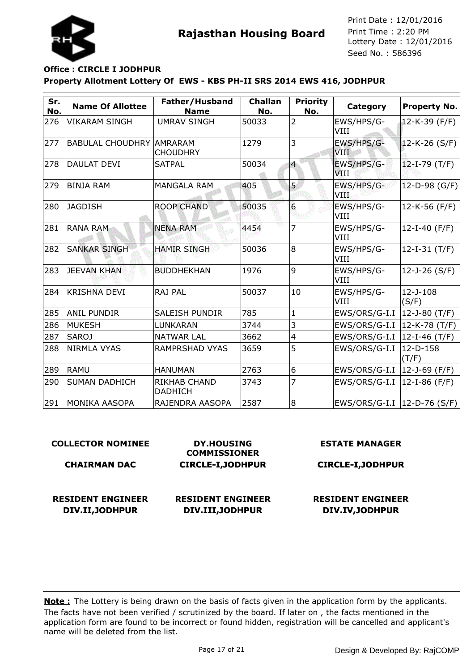

## **Property Allotment Lottery Of EWS - KBS PH-II SRS 2014 EWS 416, JODHPUR Office : CIRCLE I JODHPUR**

| Sr.<br>No. | <b>Name Of Allottee</b>         | Father/Husband<br><b>Name</b>  | <b>Challan</b><br>No. | <b>Priority</b><br>No. | Category                      | <b>Property No.</b>     |
|------------|---------------------------------|--------------------------------|-----------------------|------------------------|-------------------------------|-------------------------|
| 276        | VIKARAM SINGH                   | <b>UMRAV SINGH</b>             | 50033                 | 2                      | EWS/HPS/G-<br>VIII            | 12-K-39 (F/F)           |
| 277        | <b>BABULAL CHOUDHRY AMRARAM</b> | <b>CHOUDHRY</b>                | 1279                  | 3                      | EWS/HPS/G-<br><b>VIII</b>     | $12-K-26$ (S/F)         |
| 278        | DAULAT DEVI                     | <b>SATPAL</b>                  | 50034                 | $\overline{4}$         | EWS/HPS/G-<br>VIII            | $12-I-79$ (T/F)         |
| 279        | <b>BINJA RAM</b>                | <b>MANGALA RAM</b>             | 405                   | 5                      | EWS/HPS/G-<br>VIII.           | $12-D-98$ (G/F)         |
| 280        | <b>JAGDISH</b>                  | <b>ROOP CHAND</b>              | 50035                 | $6\phantom{1}6$        | EWS/HPS/G-<br>VIII            | $12-K-56$ (F/F)         |
| 281        | <b>RANA RAM</b>                 | <b>NENA RAM</b>                | 4454                  | 7                      | EWS/HPS/G-<br>VIII            | 12-I-40 (F/F)           |
| 282        | <b>SANKAR SINGH</b>             | <b>HAMIR SINGH</b>             | 50036                 | 8                      | EWS/HPS/G-<br>VIII            | $12-I-31$ (T/F)         |
| 283        | <b>JEEVAN KHAN</b>              | <b>BUDDHEKHAN</b>              | 1976                  | 9                      | EWS/HPS/G-<br>VIII            | 12-J-26 (S/F)           |
| 284        | <b>KRISHNA DEVI</b>             | RAJ PAL                        | 50037                 | 10                     | EWS/HPS/G-<br>VIII            | $12 - J - 108$<br>(S/F) |
| 285        | anil pundir                     | <b>SALEISH PUNDIR</b>          | 785                   | $\mathbf{1}$           | EWS/ORS/G-I.I  12-J-80 (T/F)  |                         |
| 286        | <b>MUKESH</b>                   | LUNKARAN                       | 3744                  | 3                      | EWS/ORS/G-I.I   12-K-78 (T/F) |                         |
| 287        | <b>SAROJ</b>                    | <b>NATWAR LAL</b>              | 3662                  | 4                      | EWS/ORS/G-I.I  12-I-46 (T/F)  |                         |
| 288        | NIRMLA VYAS                     | <b>RAMPRSHAD VYAS</b>          | 3659                  | 5                      | EWS/ORS/G-I.I                 | 12-D-158<br>(T/F)       |
| 289        | <b>RAMU</b>                     | <b>HANUMAN</b>                 | 2763                  | 6                      | EWS/ORS/G-I.I  12-J-69 (F/F)  |                         |
| 290        | <b>SUMAN DADHICH</b>            | RIKHAB CHAND<br><b>DADHICH</b> | 3743                  | 7                      | EWS/ORS/G-I.I                 | 12-I-86 (F/F)           |
| 291        | MONIKA AASOPA                   | RAJENDRA AASOPA                | 2587                  | l8                     | EWS/ORS/G-I.I  12-D-76 (S/F)  |                         |

#### **COLLECTOR NOMINEE CHAIRMAN DAC DY.HOUSING COMMISSIONER CIRCLE-I,JODHPUR ESTATE MANAGER CIRCLE-I,JODHPUR RESIDENT ENGINEER DIV.II,JODHPUR RESIDENT ENGINEER DIV.III,JODHPUR RESIDENT ENGINEER DIV.IV,JODHPUR**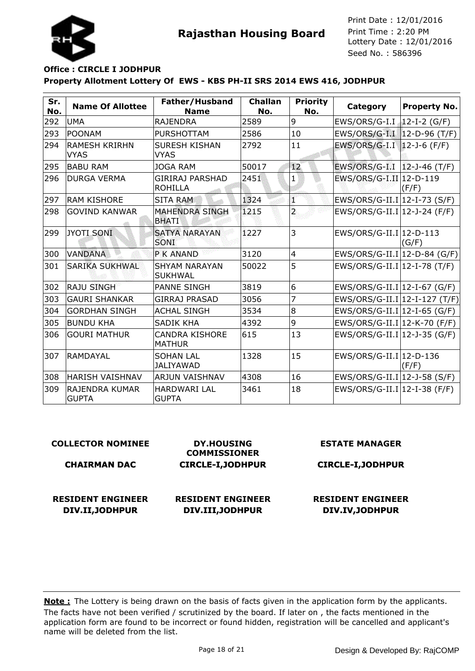

## **Property Allotment Lottery Of EWS - KBS PH-II SRS 2014 EWS 416, JODHPUR Office : CIRCLE I JODHPUR**

| Sr.<br>No. | <b>Name Of Allottee</b>             | Father/Husband<br><b>Name</b>            | <b>Challan</b><br>No. | <b>Priority</b><br>No. | Category                                  | <b>Property No.</b> |
|------------|-------------------------------------|------------------------------------------|-----------------------|------------------------|-------------------------------------------|---------------------|
| 292        | <b>UMA</b>                          | <b>RAJENDRA</b>                          | 2589                  | 9                      | EWS/ORS/G-I.I   12-I-2 (G/F)              |                     |
| 293        | POONAM                              | <b>PURSHOTTAM</b>                        | 2586                  | 10                     | EWS/ORS/G-I.I 12-D-96 (T/F)               |                     |
| 294        | <b>RAMESH KRIRHN</b><br><b>VYAS</b> | <b>SURESH KISHAN</b><br><b>VYAS</b>      | 2792                  | 11                     | EWS/ORS/G-I.I  12-J-6 (F/F)               |                     |
| 295        | <b>BABU RAM</b>                     | <b>JOGA RAM</b>                          | 50017                 | 12 <sup>2</sup>        | EWS/ORS/G-I.I  12-J-46 (T/F)              |                     |
| 296        | <b>DURGA VERMA</b>                  | <b>GIRIRAJ PARSHAD</b><br><b>ROHILLA</b> | 2451                  | 1                      | EWS/ORS/G-I.II 12-D-119                   | (F/F)               |
| 297        | <b>RAM KISHORE</b>                  | <b>SITA RAM</b>                          | 1324                  | T                      | EWS/ORS/G-II.I 12-I-73 (S/F)              |                     |
| 298        | <b>GOVIND KANWAR</b>                | <b>MAHENDRA SINGH</b><br><b>BHATI</b>    | 1215                  | $\overline{a}$         | $EWS/ORS/G-II.I 12-J-24 (F/F)$            |                     |
| 299        | JYOTI SONI                          | <b>SATYA NARAYAN</b><br><b>SONI</b>      | 1227                  | 3                      | EWS/ORS/G-II.I 12-D-113                   | (G/F)               |
| 300        | <b>VANDANA</b>                      | <b>P K ANAND</b>                         | 3120                  | $\overline{4}$         | $EWS/ORS/G-II.I$ <sup>12-D-84</sup> (G/F) |                     |
| 301        | <b>SARIKA SUKHWAL</b>               | <b>SHYAM NARAYAN</b><br><b>SUKHWAL</b>   | 50022                 | 5                      | $EWS/ORS/G-II.I 12-I-78 (T/F)$            |                     |
| 302        | <b>RAJU SINGH</b>                   | <b>PANNE SINGH</b>                       | 3819                  | 6                      | EWS/ORS/G-II.I 12-I-67 (G/F)              |                     |
| 303        | <b>GAURI SHANKAR</b>                | <b>GIRRAJ PRASAD</b>                     | 3056                  | 7                      | $ EWS/ORS/G-II.I 12-I-127 (T/F) $         |                     |
| 304        | <b>GORDHAN SINGH</b>                | <b>ACHAL SINGH</b>                       | 3534                  | 8                      | EWS/ORS/G-II.I 12-I-65 (G/F)              |                     |
| 305        | <b>BUNDU KHA</b>                    | <b>SADIK KHA</b>                         | 4392                  | 9                      | EWS/ORS/G-II.I 12-K-70 (F/F)              |                     |
| 306        | <b>GOURI MATHUR</b>                 | <b>CANDRA KISHORE</b><br><b>MATHUR</b>   | 615                   | 13                     | EWS/ORS/G-II.I 12-J-35 (G/F)              |                     |
| 307        | <b>RAMDAYAL</b>                     | <b>SOHAN LAL</b><br><b>JALIYAWAD</b>     | 1328                  | 15                     | $EWS/ORS/G-II.I$ <sup>12-D-136</sup>      | (F/F)               |
| 308        | HARISH VAISHNAV                     | <b>ARJUN VAISHNAV</b>                    | 4308                  | 16                     | $EWS/ORS/G-II.I$ <sup>12-J-58</sup> (S/F) |                     |
| 309        | IRAJENDRA KUMAR<br><b>GUPTA</b>     | HARDWARI LAL<br><b>GUPTA</b>             | 3461                  | 18                     | $EWS/ORS/G-II.I$ <sup>12-I-38</sup> (F/F) |                     |

#### **COLLECTOR NOMINEE**

#### **CHAIRMAN DAC**

**RESIDENT ENGINEER DIV.II,JODHPUR**

**RESIDENT ENGINEER DIV.III,JODHPUR**

**DY.HOUSING COMMISSIONER CIRCLE-I,JODHPUR** **ESTATE MANAGER**

#### **CIRCLE-I,JODHPUR**

## **RESIDENT ENGINEER DIV.IV,JODHPUR**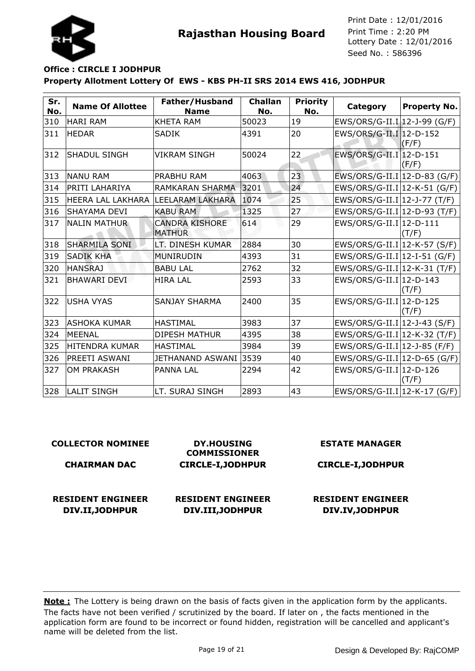

## **Property Allotment Lottery Of EWS - KBS PH-II SRS 2014 EWS 416, JODHPUR Office : CIRCLE I JODHPUR**

| Sr.<br>No. | <b>Name Of Allottee</b> | Father/Husband<br><b>Name</b>          | <b>Challan</b><br>No. | <b>Priority</b><br>No. | Category                       | <b>Property No.</b> |
|------------|-------------------------|----------------------------------------|-----------------------|------------------------|--------------------------------|---------------------|
| 310        | <b>HARI RAM</b>         | <b>KHETA RAM</b>                       | 50023                 | 19                     | EWS/ORS/G-II.I 12-J-99 (G/F)   |                     |
| $311$      | <b>HEDAR</b>            | <b>SADIK</b>                           | 4391                  | 20                     | EWS/ORS/G-II.I 12-D-152        | (F/F)               |
| 312        | <b>SHADUL SINGH</b>     | <b>VIKRAM SINGH</b>                    | 50024                 | 22                     | EWS/ORS/G-II.I 12-D-151        | (F/F)               |
| 313        | <b>NANU RAM</b>         | <b>PRABHU RAM</b>                      | 4063                  | 23                     | EWS/ORS/G-II.I 12-D-83 (G/F)   |                     |
| 314        | PRITI LAHARIYA          | <b>RAMKARAN SHARMA</b>                 | 3201                  | 24                     | EWS/ORS/G-II.I 12-K-51 (G/F)   |                     |
| 315        | HEERA LAL LAKHARA       | <b>LEELARAM LAKHARA</b>                | 1074                  | 25                     | EWS/ORS/G-II.I 12-J-77 (T/F)   |                     |
| 316        | <b>SHAYAMA DEVI</b>     | <b>KABU RAM</b>                        | 1325                  | 27                     | EWS/ORS/G-II.I 12-D-93 (T/F)   |                     |
| 317        | <b>NALIN MATHUR</b>     | <b>CANDRA KISHORE</b><br><b>MATHUR</b> | 614                   | 29                     | EWS/ORS/G-II.I 12-D-111        | (T/F)               |
| 318        | <b>SHARMILA SONI</b>    | LT. DINESH KUMAR                       | 2884                  | 30                     | EWS/ORS/G-II.I 12-K-57 (S/F)   |                     |
| 319        | <b>SADIK KHA</b>        | <b>MUNIRUDIN</b>                       | 4393                  | 31                     | $EWS/ORS/G-II.I 12-I-51(G/F)$  |                     |
| 320        | <b>HANSRAJ</b>          | <b>BABU LAL</b>                        | 2762                  | 32                     | EWS/ORS/G-II.I 12-K-31 (T/F)   |                     |
| 321        | <b>BHAWARI DEVI</b>     | <b>HIRA LAL</b>                        | 2593                  | 33                     | EWS/ORS/G-II.I 12-D-143        | (T/F)               |
| 322        | <b>USHA VYAS</b>        | <b>SANJAY SHARMA</b>                   | 2400                  | 35                     | EWS/ORS/G-II.I 12-D-125        | (T/F)               |
| 323        | lashoka kumar           | <b>HASTIMAL</b>                        | 3983                  | 37                     | EWS/ORS/G-II.I 12-J-43 (S/F)   |                     |
| 324        | <b>MEENAL</b>           | <b>DIPESH MATHUR</b>                   | 4395                  | 38                     | $EWS/ORS/G-II.I 12-K-32 (T/F)$ |                     |
| 325        | <b>HITENDRA KUMAR</b>   | <b>HASTIMAL</b>                        | 3984                  | 39                     | $EWS/ORS/G-II.I 12-J-85 (F/F)$ |                     |
| 326        | PREETI ASWANI           | JETHANAND ASWANI                       | 3539                  | 40                     | $EWS/ORS/G-II.I 12-D-65(G/F)$  |                     |
| 327        | <b>OM PRAKASH</b>       | <b>PANNA LAL</b>                       | 2294                  | 42                     | EWS/ORS/G-II.I 12-D-126        | (T/F)               |
| 328        | <b>LALIT SINGH</b>      | LT. SURAJ SINGH                        | 2893                  | 43                     | $EWS/ORS/G-II.I 12-K-17(G/F)$  |                     |

| <b>COLLECTOR NOMINEE</b>                    | <b>DY.HOUSING</b><br><b>COMMISSIONER</b>     | <b>ESTATE MANAGER</b>                       |  |  |
|---------------------------------------------|----------------------------------------------|---------------------------------------------|--|--|
| <b>CHAIRMAN DAC</b>                         | <b>CIRCLE-I, JODHPUR</b>                     | <b>CIRCLE-I, JODHPUR</b>                    |  |  |
| <b>RESIDENT ENGINEER</b><br>DIV.II, JODHPUR | <b>RESIDENT ENGINEER</b><br>DIV.III, JODHPUR | <b>RESIDENT ENGINEER</b><br>DIV.IV, JODHPUR |  |  |
|                                             |                                              |                                             |  |  |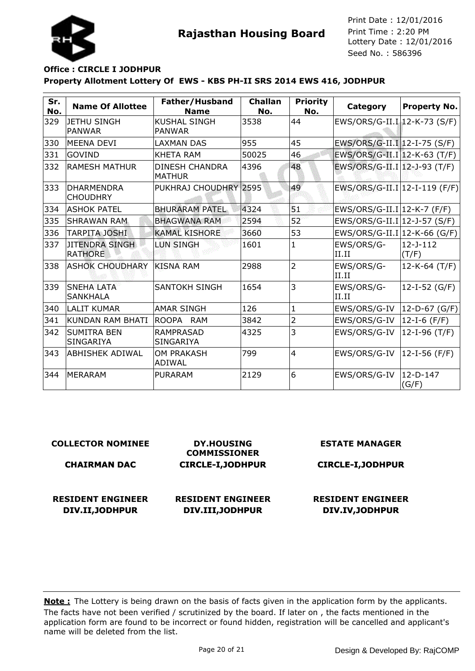



## **Property Allotment Lottery Of EWS - KBS PH-II SRS 2014 EWS 416, JODHPUR Office : CIRCLE I JODHPUR**

| Sr.<br>No. | <b>Name Of Allottee</b>                | Father/Husband<br><b>Name</b>          | <b>Challan</b><br>No. | <b>Priority</b><br>No. | Category                        | <b>Property No.</b>     |
|------------|----------------------------------------|----------------------------------------|-----------------------|------------------------|---------------------------------|-------------------------|
| 329        | <b>JETHU SINGH</b><br>PANWAR           | <b>KUSHAL SINGH</b><br><b>PANWAR</b>   | 3538                  | 44                     | EWS/ORS/G-II.I 12-K-73 (S/F)    |                         |
| 330        | <b>MEENA DEVI</b>                      | LAXMAN DAS                             | 955                   | 45                     | EWS/ORS/G-II.I 12-I-75 (S/F)    |                         |
| 331        | <b>GOVIND</b>                          | <b>KHETA RAM</b>                       | 50025                 | 46                     | EWS/ORS/G-II.I 12-K-63 (T/F)    |                         |
| 332        | <b>RAMESH MATHUR</b>                   | <b>DINESH CHANDRA</b><br><b>MATHUR</b> | 4396                  | 48                     | EWS/ORS/G-II.I 12-J-93 (T/F)    |                         |
| 333        | <b>DHARMENDRA</b><br><b>CHOUDHRY</b>   | PUKHRAJ CHOUDHRY 2595                  |                       | 49                     | $EWS/ORS/G-II.I 12-I-119 (F/F)$ |                         |
| 334        | <b>ASHOK PATEL</b>                     | <b>BHURARAM PATEL</b>                  | 4324                  | 51                     | EWS/ORS/G-II.I 12-K-7 (F/F)     |                         |
| 335        | <b>SHRAWAN RAM</b>                     | <b>BHAGWANA RAM</b>                    | 2594                  | 52                     | EWS/ORS/G-II.I 12-J-57 (S/F)    |                         |
| 336        | TARPITA JOSHI                          | <b>KAMAL KISHORE</b>                   | 3660                  | 53                     | EWS/ORS/G-II.I $ 12-K-66$ (G/F) |                         |
| 337        | JITENDRA SINGH<br><b>RATHORE</b>       | <b>LUN SINGH</b>                       | 1601                  | $\mathbf{1}$           | EWS/ORS/G-<br>II.II             | $12 - J - 112$<br>(T/F) |
| 338        | <b>ASHOK CHOUDHARY</b>                 | <b>KISNA RAM</b>                       | 2988                  | $\overline{2}$         | EWS/ORS/G-<br>II.II             | $12-K-64$ (T/F)         |
| 339        | <b>SNEHA LATA</b><br><b>SANKHALA</b>   | <b>SANTOKH SINGH</b>                   | 1654                  | 3                      | EWS/ORS/G-<br>II.II             | 12-I-52 (G/F)           |
| 340        | <b>LALIT KUMAR</b>                     | <b>AMAR SINGH</b>                      | 126                   | $\mathbf{1}$           | EWS/ORS/G-IV                    | $12-D-67$ (G/F)         |
| 341        | <b>KUNDAN RAM BHATI</b>                | <b>ROOPA</b><br><b>RAM</b>             | 3842                  | 2                      | EWS/ORS/G-IV                    | 12-I-6 $(F/F)$          |
| 342        | <b>SUMITRA BEN</b><br><b>SINGARIYA</b> | <b>RAMPRASAD</b><br><b>SINGARIYA</b>   | 4325                  | 3                      | EWS/ORS/G-IV                    | 12-I-96 $(T/F)$         |
| 343        | ABHISHEK ADIWAL                        | <b>OM PRAKASH</b><br>ADIWAL            | 799                   | $\overline{4}$         | EWS/ORS/G-IV                    | 12-I-56 (F/F)           |
| 344        | <b>MERARAM</b>                         | <b>PURARAM</b>                         | 2129                  | 6                      | EWS/ORS/G-IV                    | $12-D-147$<br>(G/F)     |

| <b>COLLECTOR NOMINEE</b>                    | <b>DY.HOUSING</b><br><b>COMMISSIONER</b>     | <b>ESTATE MANAGER</b>                       |
|---------------------------------------------|----------------------------------------------|---------------------------------------------|
| <b>CHAIRMAN DAC</b>                         | <b>CIRCLE-I, JODHPUR</b>                     | <b>CIRCLE-I, JODHPUR</b>                    |
| <b>RESIDENT ENGINEER</b><br>DIV.II, JODHPUR | <b>RESIDENT ENGINEER</b><br>DIV.III, JODHPUR | <b>RESIDENT ENGINEER</b><br>DIV.IV, JODHPUR |